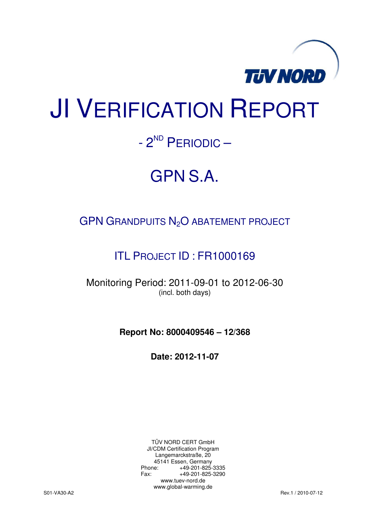

# JI VERIFICATION REPORT

# - 2<sup>ND</sup> PERIODIC —

# GPN S.A.

# GPN GRANDPUITS N<sub>2</sub>O ABATEMENT PROJECT

# ITL PROJECT ID : FR1000169

Monitoring Period: 2011-09-01 to 2012-06-30 (incl. both days)

**Report No: 8000409546 – 12/368** 

**Date: 2012-11-07** 

TÜV NORD CERT GmbH JI/CDM Certification Program Langemarckstraße, 20 45141 Essen, Germany<br>+49-201-825-49 +49-201-825-3335 Fax: +49-201-825-3290 www.tuev-nord.de www.global-warming.de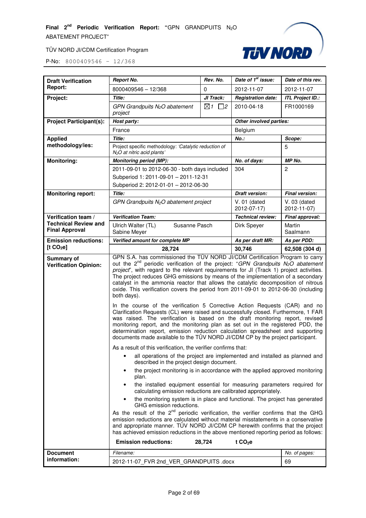

| <b>Draft Verification</b>                            | <b>Report No.</b>                                                                                                                                                                                                                                                                                                                                                                                                                                                                                                                                   | Rev. No.                  | Date of 1 <sup>st</sup> issue: | Date of this rev.             |  |
|------------------------------------------------------|-----------------------------------------------------------------------------------------------------------------------------------------------------------------------------------------------------------------------------------------------------------------------------------------------------------------------------------------------------------------------------------------------------------------------------------------------------------------------------------------------------------------------------------------------------|---------------------------|--------------------------------|-------------------------------|--|
| <b>Report:</b>                                       | 8000409546 - 12/368                                                                                                                                                                                                                                                                                                                                                                                                                                                                                                                                 | 0                         | 2012-11-07                     | 2012-11-07                    |  |
| Project:                                             | <b>Title:</b>                                                                                                                                                                                                                                                                                                                                                                                                                                                                                                                                       | JI Track:                 | <b>Registration date:</b>      | <b>ITL Project ID.:</b>       |  |
|                                                      | GPN Grandpuits $N_2O$ abatement<br>project                                                                                                                                                                                                                                                                                                                                                                                                                                                                                                          | $\boxtimes$ 1<br>$\Box$ 2 | 2010-04-18                     | FR1000169                     |  |
| <b>Project Participant(s):</b>                       | Host party:                                                                                                                                                                                                                                                                                                                                                                                                                                                                                                                                         |                           | Other involved parties:        |                               |  |
|                                                      | France                                                                                                                                                                                                                                                                                                                                                                                                                                                                                                                                              |                           | Belgium                        |                               |  |
| <b>Applied</b>                                       | Title:                                                                                                                                                                                                                                                                                                                                                                                                                                                                                                                                              |                           | $No.$ :                        | Scope:                        |  |
| methodology/ies:                                     | Project specific methodology: 'Catalytic reduction of<br>$N2O$ at nitric acid plants'                                                                                                                                                                                                                                                                                                                                                                                                                                                               |                           |                                | 5                             |  |
| <b>Monitoring:</b>                                   | <b>Monitoring period (MP):</b>                                                                                                                                                                                                                                                                                                                                                                                                                                                                                                                      |                           | No. of days:                   | MP No.                        |  |
|                                                      | 2011-09-01 to 2012-06-30 - both days included                                                                                                                                                                                                                                                                                                                                                                                                                                                                                                       |                           | 304                            | 2                             |  |
|                                                      | Subperiod 1: 2011-09-01 - 2011-12-31                                                                                                                                                                                                                                                                                                                                                                                                                                                                                                                |                           |                                |                               |  |
|                                                      | Subperiod 2: 2012-01-01 - 2012-06-30                                                                                                                                                                                                                                                                                                                                                                                                                                                                                                                |                           |                                |                               |  |
| <b>Monitoring report:</b>                            | Title:                                                                                                                                                                                                                                                                                                                                                                                                                                                                                                                                              |                           | <b>Draft version:</b>          | <b>Final version:</b>         |  |
|                                                      | $GPN$ Grandpuits $N_2O$ abatement project                                                                                                                                                                                                                                                                                                                                                                                                                                                                                                           |                           | $V. 01$ (dated<br>2012-07-17)  | $V. 03$ (dated<br>2012-11-07) |  |
| Verification team /                                  | <b>Verification Team:</b>                                                                                                                                                                                                                                                                                                                                                                                                                                                                                                                           |                           | <b>Technical review:</b>       | Final approval:               |  |
| <b>Technical Review and</b><br><b>Final Approval</b> | Susanne Pasch<br>Ulrich Walter (TL)<br>Sabine Meyer                                                                                                                                                                                                                                                                                                                                                                                                                                                                                                 |                           | Dirk Speyer                    | Martin<br>Saalmann            |  |
| <b>Emission reductions:</b>                          | Verified amount for complete MP                                                                                                                                                                                                                                                                                                                                                                                                                                                                                                                     |                           | As per draft MR:               | As per PDD:                   |  |
| [t CO <sub>2</sub> e]                                | 28,724                                                                                                                                                                                                                                                                                                                                                                                                                                                                                                                                              |                           | 30,746                         | 62,508 (304 d)                |  |
| Summary of<br><b>Verification Opinion:</b>           | GPN S.A. has commissioned the TÜV NORD JI/CDM Certification Program to carry<br>out the 2 <sup>nd</sup> periodic verification of the project: "GPN Grandpuits N <sub>2</sub> O abatement<br>project", with regard to the relevant requirements for JI (Track 1) project activities.<br>The project reduces GHG emissions by means of the implementation of a secondary<br>catalyst in the ammonia reactor that allows the catalytic decomposition of nitrous<br>oxide. This verification covers the period from 2011-09-01 to 2012-06-30 (including |                           |                                |                               |  |
|                                                      | both days).                                                                                                                                                                                                                                                                                                                                                                                                                                                                                                                                         |                           |                                |                               |  |
|                                                      | In the course of the verification 5 Corrective Action Requests (CAR) and no<br>Clarification Requests (CL) were raised and successfully closed. Furthermore, 1 FAR<br>was raised. The verification is based on the draft monitoring report, revised<br>monitoring report, and the monitoring plan as set out in the registered PDD, the<br>determination report, emission reduction calculation spreadsheet and supporting<br>documents made available to the TÜV NORD JI/CDM CP by the project participant.                                        |                           |                                |                               |  |
|                                                      | As a result of this verification, the verifier confirms that:                                                                                                                                                                                                                                                                                                                                                                                                                                                                                       |                           |                                |                               |  |
|                                                      | all operations of the project are implemented and installed as planned and<br>٠<br>described in the project design document.                                                                                                                                                                                                                                                                                                                                                                                                                        |                           |                                |                               |  |
|                                                      | the project monitoring is in accordance with the applied approved monitoring<br>plan.                                                                                                                                                                                                                                                                                                                                                                                                                                                               |                           |                                |                               |  |
|                                                      | the installed equipment essential for measuring parameters required for<br>calculating emission reductions are calibrated appropriately.                                                                                                                                                                                                                                                                                                                                                                                                            |                           |                                |                               |  |
|                                                      | the monitoring system is in place and functional. The project has generated<br>$\bullet$<br>GHG emission reductions.                                                                                                                                                                                                                                                                                                                                                                                                                                |                           |                                |                               |  |
|                                                      | As the result of the 2 <sup>nd</sup> periodic verification, the verifier confirms that the GHG<br>emission reductions are calculated without material misstatements in a conservative<br>and appropriate manner. TÜV NORD JI/CDM CP herewith confirms that the project<br>has achieved emission reductions in the above mentioned reporting period as follows:                                                                                                                                                                                      |                           |                                |                               |  |
|                                                      | <b>Emission reductions:</b>                                                                                                                                                                                                                                                                                                                                                                                                                                                                                                                         | 28,724                    | t $CO2e$                       |                               |  |
| <b>Document</b><br>information:                      | Filename:                                                                                                                                                                                                                                                                                                                                                                                                                                                                                                                                           |                           |                                | No. of pages:                 |  |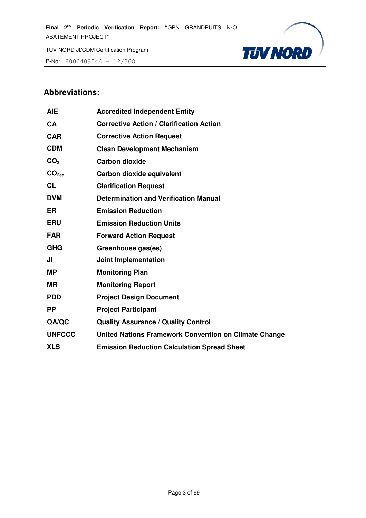P-No: 8000409546 – 12/368



# **Abbreviations:**

| <b>AIE</b>        | <b>Accredited Independent Entity</b>                  |
|-------------------|-------------------------------------------------------|
| <b>CA</b>         | <b>Corrective Action / Clarification Action</b>       |
| <b>CAR</b>        | <b>Corrective Action Request</b>                      |
| <b>CDM</b>        | <b>Clean Development Mechanism</b>                    |
| CO <sub>2</sub>   | <b>Carbon dioxide</b>                                 |
| CO <sub>2eq</sub> | Carbon dioxide equivalent                             |
| <b>CL</b>         | <b>Clarification Request</b>                          |
| <b>DVM</b>        | <b>Determination and Verification Manual</b>          |
| <b>ER</b>         | <b>Emission Reduction</b>                             |
| <b>ERU</b>        | <b>Emission Reduction Units</b>                       |
| <b>FAR</b>        | <b>Forward Action Request</b>                         |
| <b>GHG</b>        | Greenhouse gas(es)                                    |
| JI                | <b>Joint Implementation</b>                           |
| <b>MP</b>         | <b>Monitoring Plan</b>                                |
| МR                | <b>Monitoring Report</b>                              |
| <b>PDD</b>        | <b>Project Design Document</b>                        |
| <b>PP</b>         | <b>Project Participant</b>                            |
| QA/QC             | <b>Quality Assurance / Quality Control</b>            |
| <b>UNFCCC</b>     | United Nations Framework Convention on Climate Change |
| <b>XLS</b>        | <b>Emission Reduction Calculation Spread Sheet</b>    |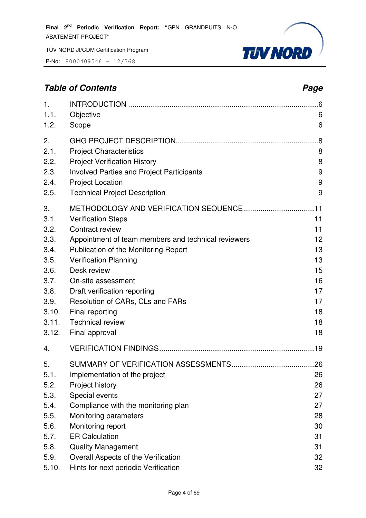P-No: 8000409546 – 12/368



# **Table of Contents** *Page Page Page Page Page Page Page Page Page Page Page Page Page Page Page Page Page Page Page Page Page Page Page Page Page Page Page Page Page*

| 1.<br>1.1.<br>1.2.                                                                                    | Objective<br>Scope                                                                                                                                                                                                                                                                                                                                   | 6<br>6                                                               |
|-------------------------------------------------------------------------------------------------------|------------------------------------------------------------------------------------------------------------------------------------------------------------------------------------------------------------------------------------------------------------------------------------------------------------------------------------------------------|----------------------------------------------------------------------|
| 2.<br>2.1.<br>2.2.<br>2.3.<br>2.4.                                                                    | <b>Project Characteristics</b><br><b>Project Verification History</b><br><b>Involved Parties and Project Participants</b><br><b>Project Location</b>                                                                                                                                                                                                 | .8<br>8<br>8<br>9<br>9                                               |
| 2.5.                                                                                                  | <b>Technical Project Description</b>                                                                                                                                                                                                                                                                                                                 | 9                                                                    |
| 3.<br>3.1.<br>3.2.<br>3.3.<br>3.4.<br>3.5.<br>3.6.<br>3.7.<br>3.8.<br>3.9.<br>3.10.<br>3.11.<br>3.12. | <b>Verification Steps</b><br>Contract review<br>Appointment of team members and technical reviewers<br>Publication of the Monitoring Report<br><b>Verification Planning</b><br>Desk review<br>On-site assessment<br>Draft verification reporting<br>Resolution of CARs, CLs and FARs<br>Final reporting<br><b>Technical review</b><br>Final approval | 11<br>11<br>12<br>13<br>13<br>15<br>16<br>17<br>17<br>18<br>18<br>18 |
| 4.                                                                                                    |                                                                                                                                                                                                                                                                                                                                                      |                                                                      |
| 5.<br>5.1.<br>5.2.<br>5.3.<br>5.4.<br>5.5.<br>5.6.<br>5.7.                                            | Implementation of the project<br>Project history<br>Special events<br>Compliance with the monitoring plan<br>Monitoring parameters<br>Monitoring report<br><b>ER Calculation</b>                                                                                                                                                                     | .26<br>26<br>26<br>27<br>27<br>28<br>30<br>31                        |
| 5.8.<br>5.9.                                                                                          | <b>Quality Management</b><br>Overall Aspects of the Verification                                                                                                                                                                                                                                                                                     | 31<br>32                                                             |
| 5.10.                                                                                                 | Hints for next periodic Verification                                                                                                                                                                                                                                                                                                                 | 32                                                                   |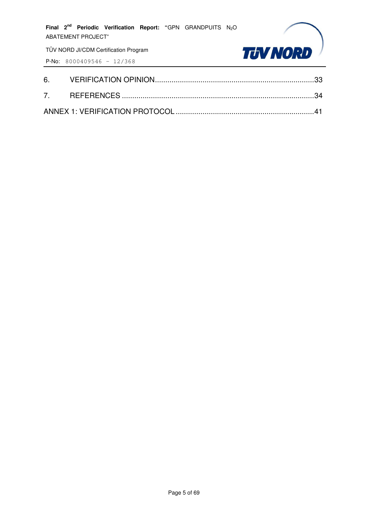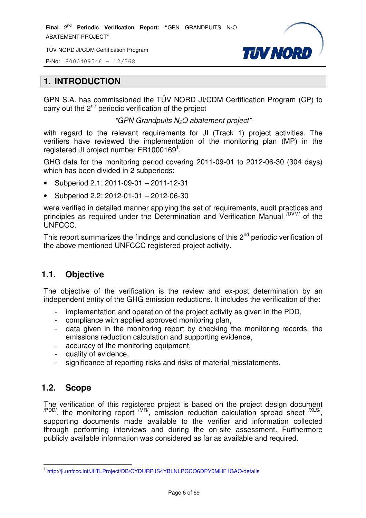P-No: 8000409546 – 12/368



#### **1. INTRODUCTION**

GPN S.A. has commissioned the TÜV NORD JI/CDM Certification Program (CP) to carry out the  $2<sup>nd</sup>$  periodic verification of the project

"GPN Grandpuits N2O abatement project"

with regard to the relevant requirements for JI (Track 1) project activities. The verifiers have reviewed the implementation of the monitoring plan (MP) in the registered JI project number  $FR1000169^1$ .

GHG data for the monitoring period covering 2011-09-01 to 2012-06-30 (304 days) which has been divided in 2 subperiods:

- Subperiod 2.1: 2011-09-01 2011-12-31
- Subperiod 2.2: 2012-01-01 2012-06-30

were verified in detailed manner applying the set of requirements, audit practices and principles as required under the Determination and Verification Manual <sup>/DVM/</sup> of the UNFCCC.

This report summarizes the findings and conclusions of this  $2<sup>nd</sup>$  periodic verification of the above mentioned UNFCCC registered project activity.

# **1.1. Objective**

The objective of the verification is the review and ex-post determination by an independent entity of the GHG emission reductions. It includes the verification of the:

- implementation and operation of the project activity as given in the PDD,
- compliance with applied approved monitoring plan,
- data given in the monitoring report by checking the monitoring records, the emissions reduction calculation and supporting evidence,
- accuracy of the monitoring equipment,
- quality of evidence.
- significance of reporting risks and risks of material misstatements.

# **1.2. Scope**

The verification of this registered project is based on the project design document  $\alpha$ <sup>PDD/</sup>, the monitoring report  $\alpha$ <sup>MR/</sup>, emission reduction calculation spread sheet  $\alpha$ <sup>XLS/</sup>, supporting documents made available to the verifier and information collected through performing interviews and during the on-site assessment. Furthermore publicly available information was considered as far as available and required.

 1 http://ji.unfccc.int/JIITLProject/DB/CYDURPJS4YBLNLPGCO6DPY0MHF1GAO/details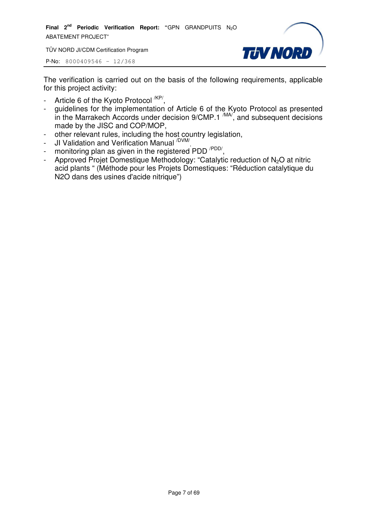**Final 2nd Periodic Verification Report: "**GPN GRANDPUITS N2O ABATEMENT PROJECT"

TÜV NORD JI/CDM Certification Program



P-No: 8000409546 – 12/368

The verification is carried out on the basis of the following requirements, applicable for this project activity:

- Article 6 of the Kyoto Protocol <sup>/KP/</sup>,
- guidelines for the implementation of Article 6 of the Kyoto Protocol as presented in the Marrakech Accords under decision  $9/CMP.1 \frac{MAV}{M}$ , and subsequent decisions made by the JISC and COP/MOP,
- other relevant rules, including the host country legislation,
- JI Validation and Verification Manual <sup>/DVM/</sup>,
- monitoring plan as given in the registered PDD<sup>/PDD/</sup>,
- Approved Projet Domestique Methodology: "Catalytic reduction of  $N_2O$  at nitric acid plants " (Méthode pour les Projets Domestiques: "Réduction catalytique du N2O dans des usines d'acide nitrique")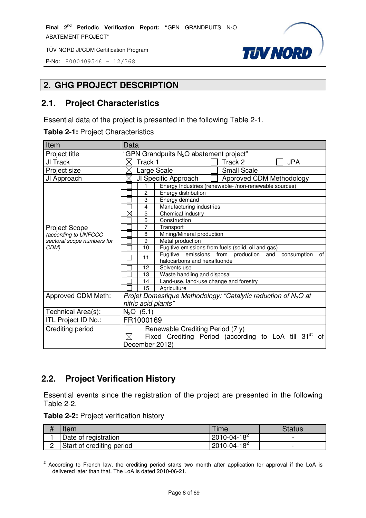P-No: 8000409546 – 12/368

# **2. GHG PROJECT DESCRIPTION**

#### **2.1. Project Characteristics**

Essential data of the project is presented in the following Table 2-1.

|  |  | Table 2-1: Project Characteristics |
|--|--|------------------------------------|
|--|--|------------------------------------|

| Data                                                                                |  |  |
|-------------------------------------------------------------------------------------|--|--|
| "GPN Grandpuits N <sub>2</sub> O abatement project"                                 |  |  |
| $\times$<br><b>JPA</b><br>Track 1<br>Track 2                                        |  |  |
| <b>Small Scale</b><br>Large Scale                                                   |  |  |
| $\times$<br>JI Specific Approach<br>Approved CDM Methodology                        |  |  |
| Energy Industries (renewable-/non-renewable sources)<br>1                           |  |  |
| $\overline{c}$<br>Energy distribution                                               |  |  |
| 3<br>Energy demand                                                                  |  |  |
| Manufacturing industries<br>4                                                       |  |  |
| $\boxtimes$<br>5<br>Chemical industry                                               |  |  |
| 6<br>Construction                                                                   |  |  |
| 7<br>Transport                                                                      |  |  |
| Mining/Mineral production<br>8                                                      |  |  |
| 9<br>Metal production                                                               |  |  |
| 10<br>Fugitive emissions from fuels (solid, oil and gas)                            |  |  |
| Fugitive emissions from production and<br>of<br>consumption<br>11                   |  |  |
| halocarbons and hexafluoride                                                        |  |  |
| 12<br>Solvents use                                                                  |  |  |
| Waste handling and disposal<br>13                                                   |  |  |
| 14<br>Land-use, land-use change and forestry                                        |  |  |
| 15<br>Agriculture                                                                   |  |  |
| Projet Domestique Methodology: "Catalytic reduction of $N_2O$ at                    |  |  |
| nitric acid plants"                                                                 |  |  |
| $N_2O$ (5.1)                                                                        |  |  |
| FR1000169                                                                           |  |  |
| Renewable Crediting Period (7 y)                                                    |  |  |
| $\boxtimes$<br>Fixed Crediting Period (according to LoA till 31 <sup>st</sup><br>0f |  |  |
| December 2012)                                                                      |  |  |
|                                                                                     |  |  |

**TUV NORD** 

# **2.2. Project Verification History**

Essential events since the registration of the project are presented in the following Table 2-2.

|  | Table 2-2: Project verification history |  |
|--|-----------------------------------------|--|
|--|-----------------------------------------|--|

| ltem                      | <b>Time</b>         | Status |
|---------------------------|---------------------|--------|
| Date of registration      | $12010 - 04 - 18^2$ | -      |
| Start of crediting period | $2010 - 04 - 18^2$  | -      |

**EXECORDIM**<br><sup>2</sup> According to French law, the crediting period starts two month after application for approval if the LoA is delivered later than that. The LoA is dated 2010-06-21.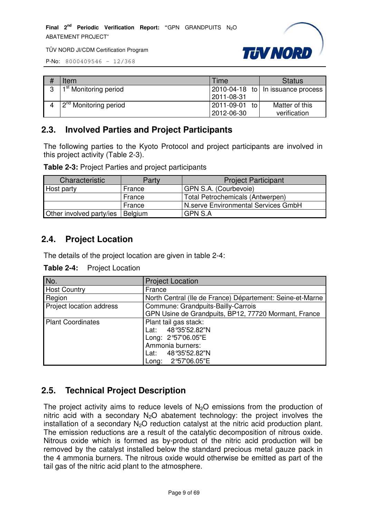

P-No: 8000409546 – 12/368

|   | Item                               | Time          | <b>Status</b>                       |
|---|------------------------------------|---------------|-------------------------------------|
| 3 | 1 <sup>st</sup> Monitoring period  |               | 2010-04-18 to   In issuance process |
|   |                                    | 2011-08-31    |                                     |
|   | 12 <sup>nd</sup> Monitoring period | 2011-09-01 to | Matter of this                      |
|   |                                    | 2012-06-30    | verification                        |

# **2.3. Involved Parties and Project Participants**

The following parties to the Kyoto Protocol and project participants are involved in this project activity (Table 2-3).

|  |  |  | Table 2-3: Project Parties and project participants |
|--|--|--|-----------------------------------------------------|
|--|--|--|-----------------------------------------------------|

| Characteristic           | Party          | <b>Project Participant</b>          |
|--------------------------|----------------|-------------------------------------|
| Host party               | France         | GPN S.A. (Courbevoie)               |
|                          | France         | Total Petrochemicals (Antwerpen)    |
|                          | France         | N.serve Environmental Services GmbH |
| Other involved party/ies | <b>Belgium</b> | <b>GPN S.A</b>                      |

#### **2.4. Project Location**

The details of the project location are given in table 2-4:

**Table 2-4:** Project Location

| No.                      | <b>Project Location</b>                                   |
|--------------------------|-----------------------------------------------------------|
| <b>Host Country</b>      | France                                                    |
| Region                   | North Central (Ile de France) Département: Seine-et-Marne |
| Project location address | Commune: Grandpuits-Bailly-Carrois                        |
|                          | GPN Usine de Grandpuits, BP12, 77720 Mormant, France      |
| <b>Plant Coordinates</b> | Plant tail gas stack:                                     |
|                          | Lat: 48°35'52.82"N                                        |
|                          | Long: 2°57'06.05"E                                        |
|                          | Ammonia burners:                                          |
|                          | Lat: 48°35'52.82"N                                        |
|                          | Long: 2°57'06.05"E                                        |

# **2.5. Technical Project Description**

The project activity aims to reduce levels of  $N<sub>2</sub>O$  emissions from the production of nitric acid with a secondary  $N_2O$  abatement technology: the project involves the installation of a secondary  $N_2O$  reduction catalyst at the nitric acid production plant. The emission reductions are a result of the catalytic decomposition of nitrous oxide. Nitrous oxide which is formed as by-product of the nitric acid production will be removed by the catalyst installed below the standard precious metal gauze pack in the 4 ammonia burners. The nitrous oxide would otherwise be emitted as part of the tail gas of the nitric acid plant to the atmosphere.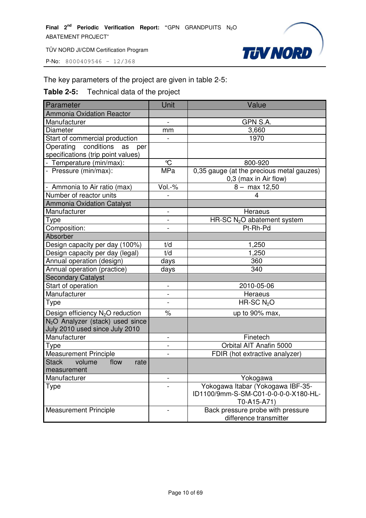P-No: 8000409546 – 12/368

# The key parameters of the project are given in table 2-5:

# **Table 2-5:** Technical data of the project

| Parameter                                             | Unit                     | Value                                                              |
|-------------------------------------------------------|--------------------------|--------------------------------------------------------------------|
| <b>Ammonia Oxidation Reactor</b>                      |                          |                                                                    |
| Manufacturer                                          | -                        | GPN S.A.                                                           |
| Diameter                                              | mm                       | 3,660                                                              |
| Start of commercial production                        |                          | 1970                                                               |
| Operating conditions<br>as<br>per                     |                          |                                                                    |
| specifications (trip point values)                    |                          |                                                                    |
| - Temperature (min/max):                              | $\mathrm{C}$             | 800-920                                                            |
| - Pressure (min/max):                                 | <b>MPa</b>               | 0,35 gauge (at the precious metal gauzes)<br>0,3 (max in Air flow) |
| - Ammonia to Air ratio (max)                          | Vol.-%                   | $8 - \text{max } 12,50$                                            |
| Number of reactor units                               |                          | 4                                                                  |
| <b>Ammonia Oxidation Catalyst</b>                     |                          |                                                                    |
| Manufacturer                                          | $\blacksquare$           | Heraeus                                                            |
| Type                                                  |                          | HR-SC N <sub>2</sub> O abatement system                            |
| Composition:                                          |                          | Pt-Rh-Pd                                                           |
| Absorber                                              |                          |                                                                    |
| Design capacity per day (100%)                        | t/d                      | 1,250                                                              |
| Design capacity per day (legal)                       | t/d                      | 1,250                                                              |
| Annual operation (design)                             | days                     | 360                                                                |
| Annual operation (practice)                           | days                     | 340                                                                |
| <b>Secondary Catalyst</b>                             |                          |                                                                    |
| Start of operation                                    | $\overline{\phantom{0}}$ | 2010-05-06                                                         |
| Manufacturer                                          |                          | Heraeus                                                            |
| Type                                                  |                          | HR-SC $N2O$                                                        |
| Design efficiency N <sub>2</sub> O reduction          | $\frac{0}{0}$            | up to 90% max,                                                     |
| N <sub>2</sub> O Analyzer (stack) used since          |                          |                                                                    |
| July 2010 used since July 2010                        |                          |                                                                    |
| Manufacturer                                          | $\overline{\phantom{a}}$ | Finetech                                                           |
| Type                                                  |                          | Orbital AIT Anafin 5000                                            |
| <b>Measurement Principle</b>                          |                          | FDIR (hot extractive analyzer)                                     |
| <b>Stack</b><br>volume<br>flow<br>rate<br>measurement |                          |                                                                    |
| Manufacturer                                          |                          | Yokogawa                                                           |
| Type                                                  |                          | Yokogawa Itabar (Yokogawa IBF-35-                                  |
|                                                       |                          | ID1100/9mm-S-SM-C01-0-0-0-0-X180-HL-                               |
|                                                       |                          | T0-A15-A71)                                                        |
| <b>Measurement Principle</b>                          |                          | Back pressure probe with pressure                                  |
|                                                       |                          | difference transmitter                                             |

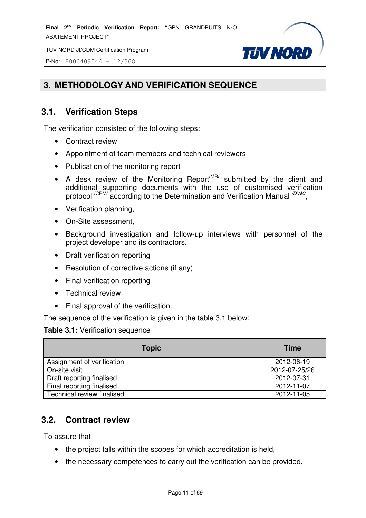TÜV NORD JI/CDM Certification Program



P-No: 8000409546 – 12/368

# **3. METHODOLOGY AND VERIFICATION SEQUENCE**

# **3.1. Verification Steps**

The verification consisted of the following steps:

- Contract review
- Appointment of team members and technical reviewers
- Publication of the monitoring report
- A desk review of the Monitoring Report<sup>MR/</sup> submitted by the client and additional supporting documents with the use of customised verification protocol <sup>/CPM/</sup> according to the Determination and Verification Manual <sup>7DVM</sup> ์<br>,
- Verification planning,
- On-Site assessment,
- Background investigation and follow-up interviews with personnel of the project developer and its contractors,
- Draft verification reporting
- Resolution of corrective actions (if any)
- Final verification reporting
- Technical review
- Final approval of the verification.

The sequence of the verification is given in the table 3.1 below:

#### **Table 3.1:** Verification sequence

| <b>Topic</b>               | <b>Time</b>   |
|----------------------------|---------------|
| Assignment of verification | 2012-06-19    |
| On-site visit              | 2012-07-25/26 |
| Draft reporting finalised  | 2012-07-31    |
| Final reporting finalised  | 2012-11-07    |
| Technical review finalised | 2012-11-05    |

# **3.2. Contract review**

To assure that

- the project falls within the scopes for which accreditation is held,
- the necessary competences to carry out the verification can be provided,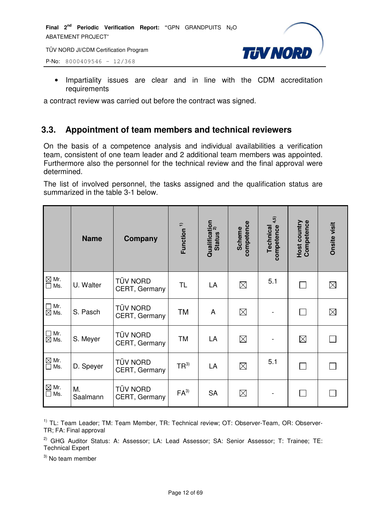P-No: 8000409546 – 12/368



• Impartiality issues are clear and in line with the CDM accreditation requirements

a contract review was carried out before the contract was signed.

# **3.3. Appointment of team members and technical reviewers**

On the basis of a competence analysis and individual availabilities a verification team, consistent of one team leader and 2 additional team members was appointed. Furthermore also the personnel for the technical review and the final approval were determined.

The list of involved personnel, the tasks assigned and the qualification status are summarized in the table 3-1 below.

|                                                       | <b>Name</b>    | Company                          | Function <sup>1)</sup> | Qualification<br>Status <sup>2)</sup><br><b>Status</b> | competence<br><b>Scheme</b> | competence <sup>4,5)</sup><br>Technical | <b>Host country</b><br>Competence | <b>Onsite visit</b> |
|-------------------------------------------------------|----------------|----------------------------------|------------------------|--------------------------------------------------------|-----------------------------|-----------------------------------------|-----------------------------------|---------------------|
| $\boxtimes$ Mr.<br>$\square$ Ms.                      | U. Walter      | TÜV NORD<br>CERT, Germany        | <b>TL</b>              | LA                                                     | $\boxtimes$                 | 5.1                                     |                                   | $\boxtimes$         |
| $\Box$ Mr.<br>$\boxtimes$ Ms.                         | S. Pasch       | <b>TÜV NORD</b><br>CERT, Germany | <b>TM</b>              | A                                                      | $\boxtimes$                 |                                         |                                   | $\boxtimes$         |
| $\Box$ Mr.<br>$\boxtimes$ Ms.                         | S. Meyer       | TÜV NORD<br>CERT, Germany        | <b>TM</b>              | LA                                                     | $\boxtimes$                 |                                         | $\boxtimes$                       |                     |
| $\mathbb{\underline{\boxtimes}}$ Mr.<br>$\square$ Ms. | D. Speyer      | TÜV NORD<br>CERT, Germany        | $TR^{3)}$              | LA                                                     | $\boxtimes$                 | 5.1                                     |                                   |                     |
| $\boxtimes$ Mr.<br>$\square$ Ms.                      | M.<br>Saalmann | TÜV NORD<br>CERT, Germany        | $FA^{3)}$              | <b>SA</b>                                              | $\boxtimes$                 |                                         |                                   |                     |

<sup>1)</sup> TL: Team Leader; TM: Team Member, TR: Technical review; OT: Observer-Team, OR: Observer-TR; FA: Final approval

 $2)$  GHG Auditor Status: A: Assessor; LA: Lead Assessor; SA: Senior Assessor; T: Trainee; TE: Technical Expert

 $3)$  No team member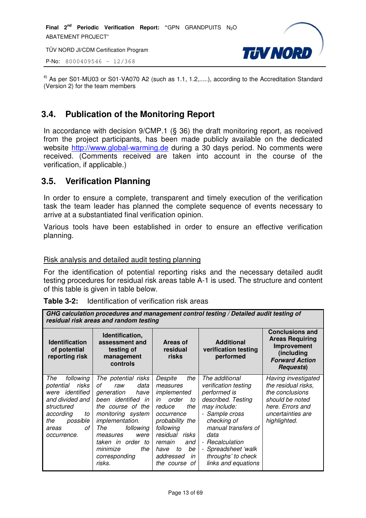TÜV NORD JI/CDM Certification Program

P-No: 8000409546 – 12/368



 $4)$  As per S01-MU03 or S01-VA070 A2 (such as 1.1, 1.2,.....), according to the Accreditation Standard (Version 2) for the team members

# **3.4. Publication of the Monitoring Report**

In accordance with decision 9/CMP.1 (§ 36) the draft monitoring report, as received from the project participants, has been made publicly available on the dedicated website http://www.global-warming.de during a 30 days period. No comments were received. (Comments received are taken into account in the course of the verification, if applicable.)

# **3.5. Verification Planning**

In order to ensure a complete, transparent and timely execution of the verification task the team leader has planned the complete sequence of events necessary to arrive at a substantiated final verification opinion.

Various tools have been established in order to ensure an effective verification planning.

#### Risk analysis and detailed audit testing planning

For the identification of potential reporting risks and the necessary detailed audit testing procedures for residual risk areas table A-1 is used. The structure and content of this table is given in table below.

| <b>Table 3-2:</b> Identification of verification risk areas |
|-------------------------------------------------------------|
|-------------------------------------------------------------|

*GHG calculation procedures and management control testing / Detailed audit testing of residual risk areas and random testing*

| <b>Identification</b><br>of potential<br>reporting risk                                                                                                           | Identification,<br>assessment and<br>testing of<br>management<br>controls                                                                                                                                                                                                     | Areas of<br>residual<br>risks                                                                                                                                                                                               | <b>Additional</b><br>verification testing<br>performed                                                                                                                                                                                                                        | <b>Conclusions and</b><br><b>Areas Requiring</b><br>Improvement<br>(including<br><b>Forward Action</b><br><b>Requests</b> )               |  |  |
|-------------------------------------------------------------------------------------------------------------------------------------------------------------------|-------------------------------------------------------------------------------------------------------------------------------------------------------------------------------------------------------------------------------------------------------------------------------|-----------------------------------------------------------------------------------------------------------------------------------------------------------------------------------------------------------------------------|-------------------------------------------------------------------------------------------------------------------------------------------------------------------------------------------------------------------------------------------------------------------------------|-------------------------------------------------------------------------------------------------------------------------------------------|--|--|
| The<br>following<br>risks<br>potential<br>identified<br>were<br>and divided and<br>structured<br>according<br>to<br>possible<br>the<br>οf<br>areas<br>occurrence. | The potential risks<br>οf<br>data<br>raw<br>generation<br>have<br>been <i>identified</i><br>in<br>the course of the<br>monitoring system<br><i>implementation.</i><br>following<br>The<br>measures<br>were<br>taken in order to<br>the<br>minimize<br>corresponding<br>risks. | Despite<br>the<br>measures<br>implemented<br>order<br>in<br>to<br>the<br>reduce<br>occurrence<br>probability the<br>following<br>residual<br>risks<br>remain<br>and<br>be<br>have<br>to<br>addressed<br>in<br>the course of | The additional<br>verification testing<br>performed is<br>described. Testing<br>may include:<br>- Sample cross<br>checking of<br>manual transfers of<br>data<br>Recalculation<br>$\overline{\phantom{a}}$<br>- Spreadsheet 'walk<br>throughs' to check<br>links and equations | Having investigated<br>the residual risks,<br>the conclusions<br>should be noted<br>here. Errors and<br>uncertainties are<br>highlighted. |  |  |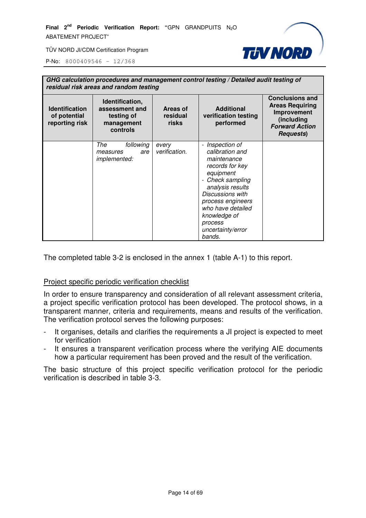

P-No: 8000409546 – 12/368

| GHG calculation procedures and management control testing / Detailed audit testing of<br>residual risk areas and random testing |                                                                           |                               |                                                                                                                                                                                                                                                                             |                                                                                                                             |  |
|---------------------------------------------------------------------------------------------------------------------------------|---------------------------------------------------------------------------|-------------------------------|-----------------------------------------------------------------------------------------------------------------------------------------------------------------------------------------------------------------------------------------------------------------------------|-----------------------------------------------------------------------------------------------------------------------------|--|
| <b>Identification</b><br>of potential<br>reporting risk                                                                         | Identification,<br>assessment and<br>testing of<br>management<br>controls | Areas of<br>residual<br>risks | <b>Additional</b><br>verification testing<br>performed                                                                                                                                                                                                                      | <b>Conclusions and</b><br><b>Areas Requiring</b><br>Improvement<br>(including<br><b>Forward Action</b><br><b>Requests</b> ) |  |
|                                                                                                                                 | following<br>The<br>are<br>measures<br><i>implemented:</i>                | every<br>verification.        | - Inspection of<br>calibration and<br>maintenance<br>records for key<br>equipment<br>Check sampling<br>$\overline{\phantom{0}}$<br>analysis results<br>Discussions with<br>process engineers<br>who have detailed<br>knowledge of<br>process<br>uncertainty/error<br>bands. |                                                                                                                             |  |

The completed table 3-2 is enclosed in the annex 1 (table A-1) to this report.

#### Project specific periodic verification checklist

In order to ensure transparency and consideration of all relevant assessment criteria, a project specific verification protocol has been developed. The protocol shows, in a transparent manner, criteria and requirements, means and results of the verification. The verification protocol serves the following purposes:

- It organises, details and clarifies the requirements a JI project is expected to meet for verification
- It ensures a transparent verification process where the verifying AIE documents how a particular requirement has been proved and the result of the verification.

The basic structure of this project specific verification protocol for the periodic verification is described in table 3-3.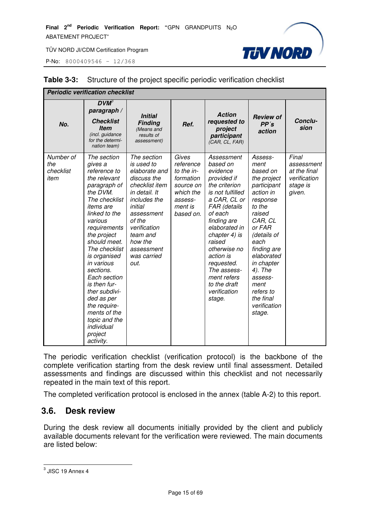P-No: 8000409546 – 12/368



| <b>Periodic verification checklist</b> |                                                                                                                                                                                                                                                                                                                                                                                                                      |                                                                                                                                                                                                                             |                                                                                                            |                                                                                                                                                                                                                                                                                                                 |                                                                                                                                                                                                                                                                                 |                                                                           |
|----------------------------------------|----------------------------------------------------------------------------------------------------------------------------------------------------------------------------------------------------------------------------------------------------------------------------------------------------------------------------------------------------------------------------------------------------------------------|-----------------------------------------------------------------------------------------------------------------------------------------------------------------------------------------------------------------------------|------------------------------------------------------------------------------------------------------------|-----------------------------------------------------------------------------------------------------------------------------------------------------------------------------------------------------------------------------------------------------------------------------------------------------------------|---------------------------------------------------------------------------------------------------------------------------------------------------------------------------------------------------------------------------------------------------------------------------------|---------------------------------------------------------------------------|
| No.                                    | $DVM^3$<br>paragraph /<br><b>Checklist</b><br><b>Item</b><br>(incl. guidance<br>for the determi-<br>nation team)                                                                                                                                                                                                                                                                                                     | <b>Initial</b><br><b>Finding</b><br>(Means and<br>results of<br>assessment)                                                                                                                                                 | Ref.                                                                                                       | <b>Action</b><br>requested to<br>project<br>participant<br>(CAR, CL, FAR)                                                                                                                                                                                                                                       | <b>Review of</b><br>PP's<br>action                                                                                                                                                                                                                                              | Conclu-<br>sion                                                           |
| Number of<br>the<br>checklist<br>item  | The section<br>gives a<br>reference to<br>the relevant<br>paragraph of<br>the DVM.<br>The checklist<br><i>items</i> are<br>linked to the<br>various<br>requirements<br>the project<br>should meet.<br>The checklist<br>is organised<br>in various<br>sections.<br>Each section<br>is then fur-<br>ther subdivi-<br>ded as per<br>the require-<br>ments of the<br>topic and the<br>individual<br>project<br>activity. | The section<br>is used to<br>elaborate and<br>discuss the<br>checklist item<br>in detail. It<br>includes the<br>initial<br>assessment<br>of the<br>verification<br>team and<br>how the<br>assessment<br>was carried<br>out. | Gives<br>reference<br>to the in-<br>formation<br>source on<br>which the<br>assess-<br>ment is<br>based on. | Assessment<br>based on<br>evidence<br>provided if<br>the criterion<br>is not fulfilled<br>a CAR, CL or<br>FAR (details<br>of each<br>finding are<br>elaborated in<br>chapter 4) is<br>raised<br>otherwise no<br>action is<br>requested.<br>The assess-<br>ment refers<br>to the draft<br>verification<br>stage. | Assess-<br>ment<br>based on<br>the project<br>participant<br>action in<br>response<br>to the<br>raised<br>CAR, CL<br>or FAR<br>(details of<br>each<br>finding are<br>elaborated<br>in chapter<br>4). The<br>assess-<br>ment<br>refers to<br>the final<br>verification<br>stage. | Final<br>assessment<br>at the final<br>verification<br>stage is<br>given. |

#### **Table 3-3:** Structure of the project specific periodic verification checklist

The periodic verification checklist (verification protocol) is the backbone of the complete verification starting from the desk review until final assessment. Detailed assessments and findings are discussed within this checklist and not necessarily repeated in the main text of this report.

The completed verification protocol is enclosed in the annex (table A-2) to this report.

#### **3.6. Desk review**

During the desk review all documents initially provided by the client and publicly available documents relevant for the verification were reviewed. The main documents are listed below:

 3 JISC 19 Annex 4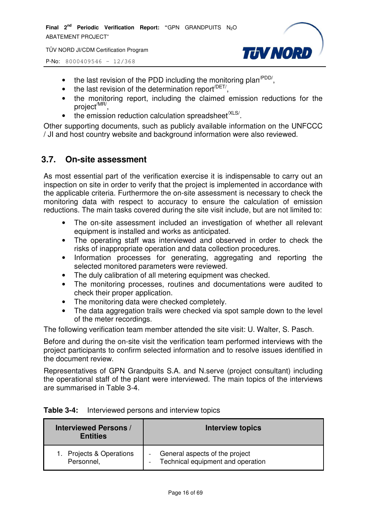TÜV NORD JI/CDM Certification Program

P-No: 8000409546 – 12/368

- **TUV NORD**
- the last revision of the PDD including the monitoring plan<sup> $PDD/$ </sup>,
- $\bullet$  the last revision of the determination report<sup> $/$ DET/</sup>,
- the monitoring report, including the claimed emission reductions for the project<sup>/MR/</sup>,
- $\bullet$  the emission reduction calculation spreadsheet<sup>/XLS/</sup>.

Other supporting documents, such as publicly available information on the UNFCCC / JI and host country website and background information were also reviewed.

# **3.7. On-site assessment**

As most essential part of the verification exercise it is indispensable to carry out an inspection on site in order to verify that the project is implemented in accordance with the applicable criteria. Furthermore the on-site assessment is necessary to check the monitoring data with respect to accuracy to ensure the calculation of emission reductions. The main tasks covered during the site visit include, but are not limited to:

- The on-site assessment included an investigation of whether all relevant equipment is installed and works as anticipated.
- The operating staff was interviewed and observed in order to check the risks of inappropriate operation and data collection procedures.
- Information processes for generating, aggregating and reporting the selected monitored parameters were reviewed.
- The duly calibration of all metering equipment was checked.
- The monitoring processes, routines and documentations were audited to check their proper application.
- The monitoring data were checked completely.
- The data aggregation trails were checked via spot sample down to the level of the meter recordings.

The following verification team member attended the site visit: U. Walter, S. Pasch.

Before and during the on-site visit the verification team performed interviews with the project participants to confirm selected information and to resolve issues identified in the document review.

Representatives of GPN Grandpuits S.A. and N.serve (project consultant) including the operational staff of the plant were interviewed. The main topics of the interviews are summarised in Table 3-4.

| Table 3-4: | Interviewed persons and interview topics |  |  |  |
|------------|------------------------------------------|--|--|--|
|------------|------------------------------------------|--|--|--|

| <b>Interviewed Persons /</b><br><b>Entities</b> | <b>Interview topics</b>           |  |
|-------------------------------------------------|-----------------------------------|--|
| Projects & Operations                           | General aspects of the project    |  |
| Personnel,                                      | Technical equipment and operation |  |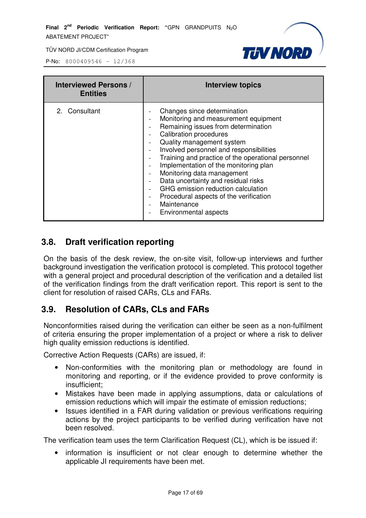

P-No: 8000409546 – 12/368

| <b>Interviewed Persons /</b><br><b>Entities</b> | <b>Interview topics</b>                                                                                                                                                                                                                                                                                                                                                                                                                                                                                              |
|-------------------------------------------------|----------------------------------------------------------------------------------------------------------------------------------------------------------------------------------------------------------------------------------------------------------------------------------------------------------------------------------------------------------------------------------------------------------------------------------------------------------------------------------------------------------------------|
| 2. Consultant                                   | Changes since determination<br>Monitoring and measurement equipment<br>Remaining issues from determination<br><b>Calibration procedures</b><br>Quality management system<br>Involved personnel and responsibilities<br>Training and practice of the operational personnel<br>Implementation of the monitoring plan<br>Monitoring data management<br>Data uncertainty and residual risks<br>GHG emission reduction calculation<br>Procedural aspects of the verification<br>-<br>Maintenance<br>Environmental aspects |

#### **3.8. Draft verification reporting**

On the basis of the desk review, the on-site visit, follow-up interviews and further background investigation the verification protocol is completed. This protocol together with a general project and procedural description of the verification and a detailed list of the verification findings from the draft verification report. This report is sent to the client for resolution of raised CARs, CLs and FARs.

# **3.9. Resolution of CARs, CLs and FARs**

Nonconformities raised during the verification can either be seen as a non-fulfilment of criteria ensuring the proper implementation of a project or where a risk to deliver high quality emission reductions is identified.

Corrective Action Requests (CARs) are issued, if:

- Non-conformities with the monitoring plan or methodology are found in monitoring and reporting, or if the evidence provided to prove conformity is insufficient;
- Mistakes have been made in applying assumptions, data or calculations of emission reductions which will impair the estimate of emission reductions;
- Issues identified in a FAR during validation or previous verifications requiring actions by the project participants to be verified during verification have not been resolved.

The verification team uses the term Clarification Request (CL), which is be issued if:

• information is insufficient or not clear enough to determine whether the applicable JI requirements have been met.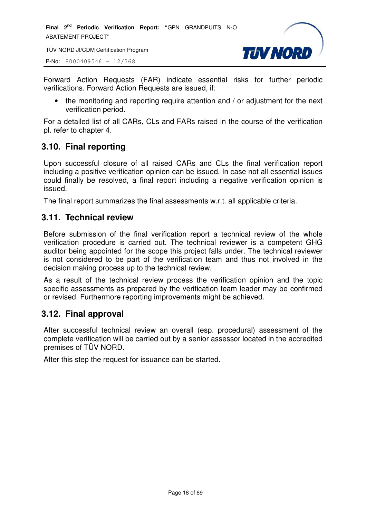TÜV NORD JI/CDM Certification Program

P-No: 8000409546 – 12/368



Forward Action Requests (FAR) indicate essential risks for further periodic verifications. Forward Action Requests are issued, if:

• the monitoring and reporting require attention and / or adjustment for the next verification period.

For a detailed list of all CARs, CLs and FARs raised in the course of the verification pl. refer to chapter 4.

# **3.10. Final reporting**

Upon successful closure of all raised CARs and CLs the final verification report including a positive verification opinion can be issued. In case not all essential issues could finally be resolved, a final report including a negative verification opinion is issued.

The final report summarizes the final assessments w.r.t. all applicable criteria.

# **3.11. Technical review**

Before submission of the final verification report a technical review of the whole verification procedure is carried out. The technical reviewer is a competent GHG auditor being appointed for the scope this project falls under. The technical reviewer is not considered to be part of the verification team and thus not involved in the decision making process up to the technical review.

As a result of the technical review process the verification opinion and the topic specific assessments as prepared by the verification team leader may be confirmed or revised. Furthermore reporting improvements might be achieved.

# **3.12. Final approval**

After successful technical review an overall (esp. procedural) assessment of the complete verification will be carried out by a senior assessor located in the accredited premises of TÜV NORD.

After this step the request for issuance can be started.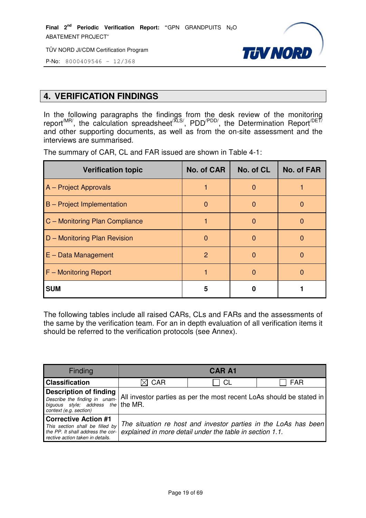TÜV NORD JI/CDM Certification Program



P-No: 8000409546 – 12/368

# **4. VERIFICATION FINDINGS**

In the following paragraphs the findings from the desk review of the monitoring report<sup>/MR/</sup>, the calculation spreadsheet<sup>/XLS/</sup>, PDD<sup>/PDD/</sup>, the Determination Report<sup>/DET/</sup> and other supporting documents, as well as from the on-site assessment and the interviews are summarised.

| <b>Verification topic</b>      | No. of CAR | No. of CL | <b>No. of FAR</b> |
|--------------------------------|------------|-----------|-------------------|
| A - Project Approvals          |            |           |                   |
| B - Project Implementation     | 0          | O         | 0                 |
| C - Monitoring Plan Compliance |            |           | O                 |
| D - Monitoring Plan Revision   | 0          |           | O                 |
| $E - Data Management$          | 2          | n         | O                 |
| F - Monitoring Report          |            |           |                   |
| <b>SUM</b>                     | 5          |           |                   |

The summary of CAR, CL and FAR issued are shown in Table 4-1:

The following tables include all raised CARs, CLs and FARs and the assessments of the same by the verification team. For an in depth evaluation of all verification items it should be referred to the verification protocols (see Annex).

| Finding                                                                                                                                 |                                                                                                    | <b>CAR A1</b>                                            |                                                                 |  |
|-----------------------------------------------------------------------------------------------------------------------------------------|----------------------------------------------------------------------------------------------------|----------------------------------------------------------|-----------------------------------------------------------------|--|
| <b>Classification</b>                                                                                                                   | $\boxtimes$ CAR                                                                                    | CL                                                       | <b>FAR</b>                                                      |  |
| <b>Description of finding</b><br>biguous style; $\vec{a}$ ddress the the MR.<br>context (e.g. section)                                  | Describe the finding in unam- All investor parties as per the most recent LoAs should be stated in |                                                          |                                                                 |  |
| <b>Corrective Action #1</b><br>This section shall be filled by<br>the PP. It shall address the cor-<br>rective action taken in details. |                                                                                                    | explained in more detail under the table in section 1.1. | The situation re host and investor parties in the LoAs has been |  |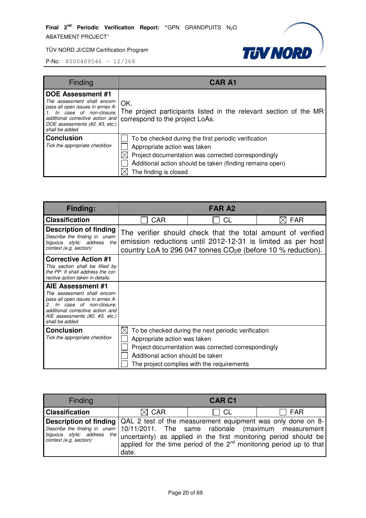

| Finding                                                                                                                                                                                                         | <b>CAR A1</b>                                                                                                                                                                                                                    |
|-----------------------------------------------------------------------------------------------------------------------------------------------------------------------------------------------------------------|----------------------------------------------------------------------------------------------------------------------------------------------------------------------------------------------------------------------------------|
| <b>DOE Assessment #1</b><br>The assessment shall encom-<br>pass all open issues in annex A-<br>In case of non-closure.<br>additional corrective action and<br>DOE assessments (#2, #3, etc.)<br>shall be added. | OK.<br>The project participants listed in the relevant section of the MR<br>correspond to the project LoAs.                                                                                                                      |
| <b>Conclusion</b><br>Tick the appropriate checkbox                                                                                                                                                              | To be checked during the first periodic verification<br>Appropriate action was taken<br>Project documentation was corrected correspondingly<br>Additional action should be taken (finding remains open)<br>The finding is closed |

| <b>Finding:</b>                                                                                                                                                                                                                         |                                                                                  | <b>FAR A2</b>                                                                                                                                                                               |            |
|-----------------------------------------------------------------------------------------------------------------------------------------------------------------------------------------------------------------------------------------|----------------------------------------------------------------------------------|---------------------------------------------------------------------------------------------------------------------------------------------------------------------------------------------|------------|
| <b>Classification</b>                                                                                                                                                                                                                   | CAR                                                                              | <b>CL</b>                                                                                                                                                                                   | <b>FAR</b> |
| <b>Description of finding</b><br>Describe the finding in unam-<br>biguous style; address the<br>context (e.g. section)                                                                                                                  |                                                                                  | The verifier should check that the total amount of verified<br>emission reductions until 2012-12-31 is limited as per host<br>country LoA to 296 047 tonnes $CO2e$ (before 10 % reduction). |            |
| <b>Corrective Action #1</b><br>This section shall be filled by<br>the PP. It shall address the cor-<br>rective action taken in details.                                                                                                 |                                                                                  |                                                                                                                                                                                             |            |
| AIE Assessment #1<br>The assessment shall encom-<br>pass all open issues in annex A-<br>In case of non-closure,<br>$\mathcal{P}_{\mathcal{P}}$<br>additional corrective action and<br>AIE assessments (#2, #3, etc.)<br>shall be added. |                                                                                  |                                                                                                                                                                                             |            |
| <b>Conclusion</b><br>Tick the appropriate checkbox                                                                                                                                                                                      | $\boxtimes$<br>Appropriate action was taken<br>Additional action should be taken | To be checked during the next periodic verification<br>Project documentation was corrected correspondingly<br>The project complies with the requirements                                    |            |

| <b>Finding</b>                                                                                                                                                                                                                                                                                          |                 | <b>CAR C1</b> |                                                                          |
|---------------------------------------------------------------------------------------------------------------------------------------------------------------------------------------------------------------------------------------------------------------------------------------------------------|-----------------|---------------|--------------------------------------------------------------------------|
| <b>Classification</b>                                                                                                                                                                                                                                                                                   | $\boxtimes$ CAR | $\sqcap$ CL   | FAR                                                                      |
| <b>Description of finding</b> QAL 2 test of the measurement equipment was only done on 8-<br>Describe the finding in unam-10/11/2011. The same rationale (maximum measurement)<br>biguous style; address the uncertainty) as applied in the first monitoring period should be<br>context (e.g. section) | date.           |               | applied for the time period of the $2^{nd}$ monitoring period up to that |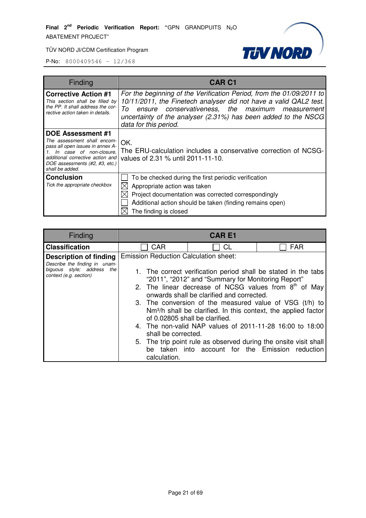

| Finding                                                                                                                                                                                                         | <b>CAR C1</b>                                                                                                                                                                                                                                                                                        |  |
|-----------------------------------------------------------------------------------------------------------------------------------------------------------------------------------------------------------------|------------------------------------------------------------------------------------------------------------------------------------------------------------------------------------------------------------------------------------------------------------------------------------------------------|--|
| <b>Corrective Action #1</b><br>This section shall be filled by<br>the PP. It shall address the cor-<br>rective action taken in details.                                                                         | For the beginning of the Verification Period, from the 01/09/2011 to<br>10/11/2011, the Finetech analyser did not have a valid QAL2 test.<br>To<br>conservativeness, the maximum<br>ensure<br>measurement<br>uncertainty of the analyser (2.31%) has been added to the NSCG<br>data for this period. |  |
| <b>DOE Assessment #1</b><br>The assessment shall encom-<br>pass all open issues in annex A-<br>In case of non-closure,<br>additional corrective action and<br>DOE assessments (#2, #3, etc.)<br>shall be added. | OK.<br>The ERU-calculation includes a conservative correction of NCSG-<br>values of 2.31 % until 2011-11-10.                                                                                                                                                                                         |  |
| <b>Conclusion</b><br>Tick the appropriate checkbox                                                                                                                                                              | To be checked during the first periodic verification<br>Appropriate action was taken<br>Project documentation was corrected correspondingly<br>Additional action should be taken (finding remains open)<br>The finding is closed                                                                     |  |

|     | <b>CARE1</b> |                                                                                                                                                                                                                                                                                                                                                                                                                                                                                                                                                                                                                                                                    |
|-----|--------------|--------------------------------------------------------------------------------------------------------------------------------------------------------------------------------------------------------------------------------------------------------------------------------------------------------------------------------------------------------------------------------------------------------------------------------------------------------------------------------------------------------------------------------------------------------------------------------------------------------------------------------------------------------------------|
| CAR | СL           | <b>FAR</b>                                                                                                                                                                                                                                                                                                                                                                                                                                                                                                                                                                                                                                                         |
|     |              |                                                                                                                                                                                                                                                                                                                                                                                                                                                                                                                                                                                                                                                                    |
|     | calculation. | <b>Emission Reduction Calculation sheet:</b><br>1. The correct verification period shall be stated in the tabs<br>"2011", "2012" and "Summary for Monitoring Report"<br>2. The linear decrease of NCSG values from $8th$ of May<br>onwards shall be clarified and corrected.<br>3. The conversion of the measured value of VSG (t/h) to<br>Nm <sup>3</sup> /h shall be clarified. In this context, the applied factor<br>of 0.02805 shall be clarified.<br>4. The non-valid NAP values of 2011-11-28 16:00 to 18:00<br>shall be corrected.<br>5. The trip point rule as observed during the onsite visit shall<br>be taken into account for the Emission reduction |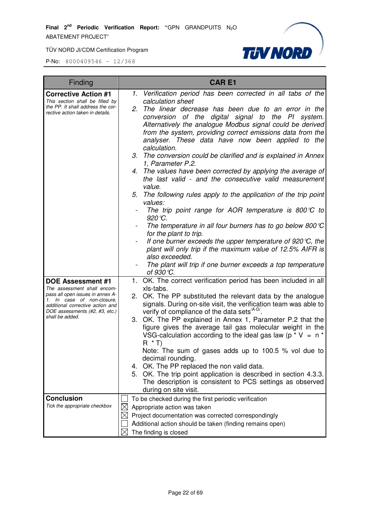

| Finding                                                                                                                              | <b>CARE1</b>                                                                                                                                                                                                                                                                                                                         |  |  |
|--------------------------------------------------------------------------------------------------------------------------------------|--------------------------------------------------------------------------------------------------------------------------------------------------------------------------------------------------------------------------------------------------------------------------------------------------------------------------------------|--|--|
| <b>Corrective Action #1</b>                                                                                                          | 1. Verification period has been corrected in all tabs of the                                                                                                                                                                                                                                                                         |  |  |
| This section shall be filled by<br>the PP. It shall address the cor-<br>rective action taken in details.                             | calculation sheet<br>2.<br>The linear decrease has been due to an error in the<br>conversion of the digital signal to the PI system.<br>Alternatively the analogue Modbus signal could be derived<br>from the system, providing correct emissions data from the<br>analyser. These data have now been applied to the<br>calculation. |  |  |
|                                                                                                                                      | 3. The conversion could be clarified and is explained in Annex<br>1, Parameter P.2.                                                                                                                                                                                                                                                  |  |  |
|                                                                                                                                      | 4. The values have been corrected by applying the average of<br>the last valid - and the consecutive valid measurement<br>value.                                                                                                                                                                                                     |  |  |
|                                                                                                                                      | The following rules apply to the application of the trip point<br>5.<br>values:                                                                                                                                                                                                                                                      |  |  |
|                                                                                                                                      | The trip point range for AOR temperature is 800 $\mathcal{C}$ to<br>920 ℃.                                                                                                                                                                                                                                                           |  |  |
|                                                                                                                                      | The temperature in all four burners has to go below 800 $\mathbb C$<br>for the plant to trip.                                                                                                                                                                                                                                        |  |  |
|                                                                                                                                      | If one burner exceeds the upper temperature of 920 $\mathcal{C}$ , the<br>plant will only trip if the maximum value of 12.5% AIFR is<br>also exceeded.                                                                                                                                                                               |  |  |
|                                                                                                                                      | The plant will trip if one burner exceeds a top temperature<br>of $930$ °C.                                                                                                                                                                                                                                                          |  |  |
| <b>DOE Assessment #1</b><br>The assessment shall encom-                                                                              | 1. OK. The correct verification period has been included in all<br>xls-tabs.                                                                                                                                                                                                                                                         |  |  |
| pass all open issues in annex A-<br>1. In case of non-closure,<br>additional corrective action and<br>DOE assessments (#2, #3, etc.) | 2. OK. The PP substituted the relevant data by the analogue<br>signals. During on-site visit, the verification team was able to<br>verify of compliance of the data sets <sup>/A-D/</sup> .                                                                                                                                          |  |  |
| shall be added.                                                                                                                      | 3. OK. The PP explained in Annex 1, Parameter P.2 that the<br>figure gives the average tail gas molecular weight in the<br>VSG-calculation according to the ideal gas law ( $p * V = n *$<br>$R * T$                                                                                                                                 |  |  |
|                                                                                                                                      | Note: The sum of gases adds up to 100.5 % vol due to<br>decimal rounding.                                                                                                                                                                                                                                                            |  |  |
|                                                                                                                                      | 4. OK. The PP replaced the non valid data.<br>5. OK. The trip point application is described in section 4.3.3.<br>The description is consistent to PCS settings as observed<br>during on site visit.                                                                                                                                 |  |  |
| <b>Conclusion</b>                                                                                                                    | To be checked during the first periodic verification                                                                                                                                                                                                                                                                                 |  |  |
| Tick the appropriate checkbox                                                                                                        | Appropriate action was taken                                                                                                                                                                                                                                                                                                         |  |  |
|                                                                                                                                      | Project documentation was corrected correspondingly                                                                                                                                                                                                                                                                                  |  |  |
|                                                                                                                                      | Additional action should be taken (finding remains open)                                                                                                                                                                                                                                                                             |  |  |
|                                                                                                                                      | The finding is closed                                                                                                                                                                                                                                                                                                                |  |  |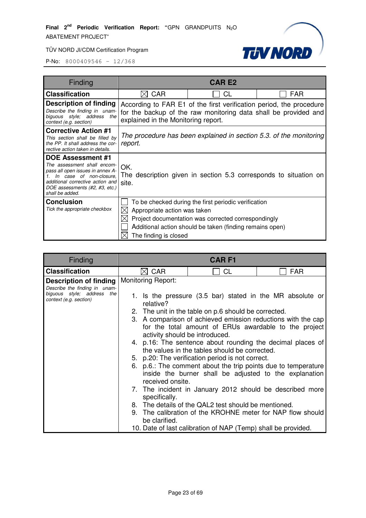

| Finding                                                                                                                                                                                                                  |                                                                               | <b>CAR E2</b>                                                                                                                                                           |            |
|--------------------------------------------------------------------------------------------------------------------------------------------------------------------------------------------------------------------------|-------------------------------------------------------------------------------|-------------------------------------------------------------------------------------------------------------------------------------------------------------------------|------------|
| <b>Classification</b>                                                                                                                                                                                                    | <b>CAR</b><br>IX.                                                             | CL                                                                                                                                                                      | <b>FAR</b> |
| Description of finding<br>Describe the finding in unam-<br>biguous style; address<br>the<br>context (e.g. section)                                                                                                       | explained in the Monitoring report.                                           | According to FAR E1 of the first verification period, the procedure<br>for the backup of the raw monitoring data shall be provided and                                  |            |
| <b>Corrective Action #1</b><br>This section shall be filled by<br>the PP. It shall address the cor-<br>rective action taken in details.                                                                                  | The procedure has been explained in section 5.3, of the monitoring<br>report. |                                                                                                                                                                         |            |
| DOE Assessment #1<br>The assessment shall encom-<br>pass all open issues in annex A-<br>In case of non-closure,<br>$\mathbf{1}$<br>additional corrective action and<br>DOE assessments (#2, #3, etc.)<br>shall be added. | OK.<br>site.                                                                  | The description given in section 5.3 corresponds to situation on                                                                                                        |            |
| <b>Conclusion</b><br>Tick the appropriate checkbox                                                                                                                                                                       | Appropriate action was taken<br>The finding is closed                         | To be checked during the first periodic verification<br>Project documentation was corrected correspondingly<br>Additional action should be taken (finding remains open) |            |

| Finding                                                                                                                | <b>CARF1</b>                           |                                                                                                                                                                                                                                                                                                                                                                                                                                                                                                                     |            |  |
|------------------------------------------------------------------------------------------------------------------------|----------------------------------------|---------------------------------------------------------------------------------------------------------------------------------------------------------------------------------------------------------------------------------------------------------------------------------------------------------------------------------------------------------------------------------------------------------------------------------------------------------------------------------------------------------------------|------------|--|
| <b>Classification</b>                                                                                                  | <b>CAR</b>                             | <b>CL</b>                                                                                                                                                                                                                                                                                                                                                                                                                                                                                                           | <b>FAR</b> |  |
| <b>Description of finding</b><br>Describe the finding in unam-<br>biguous style; address the<br>context (e.g. section) | <b>Monitoring Report:</b><br>relative? | 1. Is the pressure (3.5 bar) stated in the MR absolute or<br>2. The unit in the table on p.6 should be corrected.<br>3. A comparison of achieved emission reductions with the cap<br>for the total amount of ERUs awardable to the project<br>activity should be introduced.<br>4. p.16: The sentence about rounding the decimal places of<br>the values in the tables should be corrected.<br>5. p.20: The verification period is not correct.<br>p.6.: The comment about the trip points due to temperature<br>6. |            |  |
|                                                                                                                        | specifically.<br>be clarified.         | inside the burner shall be adjusted to the explanation<br>received onsite.<br>7. The incident in January 2012 should be described more<br>8. The details of the QAL2 test should be mentioned.<br>9. The calibration of the KROHNE meter for NAP flow should<br>10. Date of last calibration of NAP (Temp) shall be provided.                                                                                                                                                                                       |            |  |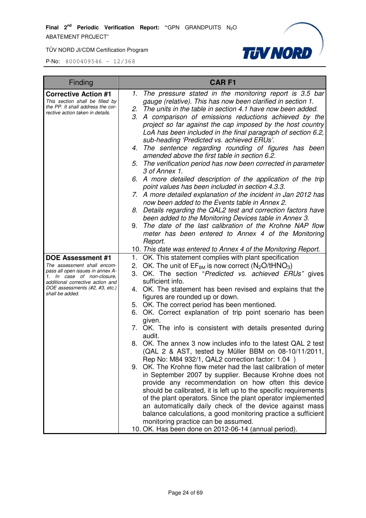

| Finding                                                               |    | <b>CARF1</b>                                                                                                          |
|-----------------------------------------------------------------------|----|-----------------------------------------------------------------------------------------------------------------------|
| <b>Corrective Action #1</b>                                           | 1. | The pressure stated in the monitoring report is 3.5 bar                                                               |
| This section shall be filled by                                       |    | gauge (relative). This has now been clarified in section 1.                                                           |
| the PP. It shall address the cor-<br>rective action taken in details. |    | 2. The units in the table in section 4.1 have now been added.                                                         |
|                                                                       | 3. | A comparison of emissions reductions achieved by the                                                                  |
|                                                                       |    | project so far against the cap imposed by the host country                                                            |
|                                                                       |    | LoA has been included in the final paragraph of section 6.2,                                                          |
|                                                                       |    | sub-heading 'Predicted vs. achieved ERUs'.<br>4. The sentence regarding rounding of figures has been                  |
|                                                                       |    | amended above the first table in section 6.2.                                                                         |
|                                                                       |    | 5. The verification period has now been corrected in parameter                                                        |
|                                                                       |    | 3 of Annex 1.                                                                                                         |
|                                                                       |    | 6. A more detailed description of the application of the trip                                                         |
|                                                                       |    | point values has been included in section 4.3.3.                                                                      |
|                                                                       |    | 7. A more detailed explanation of the incident in Jan 2012 has                                                        |
|                                                                       |    | now been added to the Events table in Annex 2.                                                                        |
|                                                                       | 8. | Details regarding the QAL2 test and correction factors have                                                           |
|                                                                       |    | been added to the Monitoring Devices table in Annex 3.                                                                |
|                                                                       | 9. | The date of the last calibration of the Krohne NAP flow                                                               |
|                                                                       |    | meter has been entered to Annex 4 of the Monitoring                                                                   |
|                                                                       |    | Report.                                                                                                               |
|                                                                       |    | 10. This date was entered to Annex 4 of the Monitoring Report.                                                        |
| <b>DOE Assessment #1</b><br>The assessment shall encom-               | 2. | 1. OK. This statement complies with plant specification<br>OK. The unit of $EF_{BM}$ is now correct ( $N_2O/tHNO_3$ ) |
| pass all open issues in annex A-                                      | 3. | OK. The section "Predicted vs. achieved ERUs" gives                                                                   |
| 1. In case of non-closure,<br>additional corrective action and        |    | sufficient info.                                                                                                      |
| DOE assessments (#2, #3, etc.)                                        |    | 4. OK. The statement has been revised and explains that the                                                           |
| shall be added.                                                       |    | figures are rounded up or down.                                                                                       |
|                                                                       |    | 5. OK. The correct period has been mentioned.                                                                         |
|                                                                       | 6. | OK. Correct explanation of trip point scenario has been                                                               |
|                                                                       |    | given.                                                                                                                |
|                                                                       |    | 7. OK. The info is consistent with details presented during                                                           |
|                                                                       |    | audit.                                                                                                                |
|                                                                       |    | 8. OK. The annex 3 now includes info to the latest QAL 2 test                                                         |
|                                                                       |    | (QAL 2 & AST, tested by Müller BBM on 08-10/11/2011,                                                                  |
|                                                                       |    | Rep No: M84 932/1, QAL2 correction factor: 1.04)<br>9. OK. The Krohne flow meter had the last calibration of meter    |
|                                                                       |    | in September 2007 by supplier. Because Krohne does not                                                                |
|                                                                       |    | provide any recommendation on how often this device                                                                   |
|                                                                       |    | should be calibrated, it is left up to the specific requirements                                                      |
|                                                                       |    | of the plant operators. Since the plant operator implemented                                                          |
|                                                                       |    | an automatically daily check of the device against mass                                                               |
|                                                                       |    | balance calculations, a good monitoring practice a sufficient                                                         |
|                                                                       |    | monitoring practice can be assumed.                                                                                   |
|                                                                       |    | 10. OK. Has been done on 2012-06-14 (annual period).                                                                  |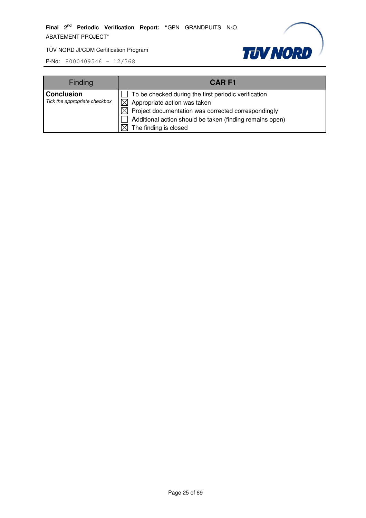

| <b>Finding</b>                                     | <b>CARF1</b>                                                                                                                                                                                                                                 |
|----------------------------------------------------|----------------------------------------------------------------------------------------------------------------------------------------------------------------------------------------------------------------------------------------------|
| <b>Conclusion</b><br>Tick the appropriate checkbox | To be checked during the first periodic verification<br>Appropriate action was taken<br>$\boxtimes$ Project documentation was corrected correspondingly<br>Additional action should be taken (finding remains open)<br>The finding is closed |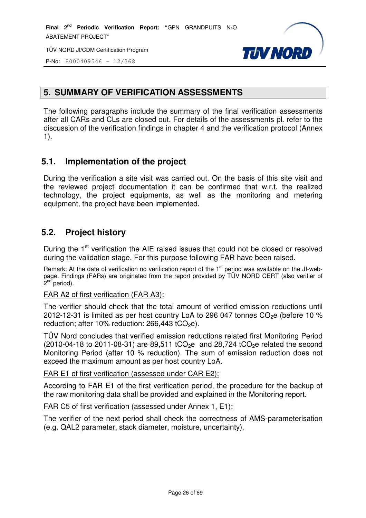



P-No: 8000409546 – 12/368

# **5. SUMMARY OF VERIFICATION ASSESSMENTS**

The following paragraphs include the summary of the final verification assessments after all CARs and CLs are closed out. For details of the assessments pl. refer to the discussion of the verification findings in chapter 4 and the verification protocol (Annex 1).

# **5.1. Implementation of the project**

During the verification a site visit was carried out. On the basis of this site visit and the reviewed project documentation it can be confirmed that w.r.t. the realized technology, the project equipments, as well as the monitoring and metering equipment, the project have been implemented.

# **5.2. Project history**

During the 1<sup>st</sup> verification the AIE raised issues that could not be closed or resolved during the validation stage. For this purpose following FAR have been raised.

Remark: At the date of verification no verification report of the  $1<sup>st</sup>$  period was available on the JI-webpage. Findings (FARs) are originated from the report provided by TÜV NORD CERT (also verifier of .<br>2<sup>nd</sup> period).

#### FAR A2 of first verification (FAR A3):

The verifier should check that the total amount of verified emission reductions until 2012-12-31 is limited as per host country LoA to 296 047 tonnes  $CO<sub>2</sub>e$  (before 10 % reduction; after 10% reduction:  $266,443$  tCO<sub>2</sub>e).

TÜV Nord concludes that verified emission reductions related first Monitoring Period  $(2010-04-18$  to 2011-08-31) are 89,511 tCO<sub>2</sub>e and 28,724 tCO<sub>2</sub>e related the second Monitoring Period (after 10 % reduction). The sum of emission reduction does not exceed the maximum amount as per host country LoA.

FAR E1 of first verification (assessed under CAR E2):

According to FAR E1 of the first verification period, the procedure for the backup of the raw monitoring data shall be provided and explained in the Monitoring report.

#### FAR C5 of first verification (assessed under Annex 1, E1):

The verifier of the next period shall check the correctness of AMS-parameterisation (e.g. QAL2 parameter, stack diameter, moisture, uncertainty).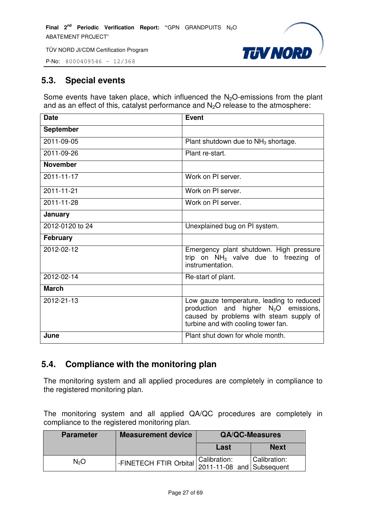

P-No: 8000409546 – 12/368

# **5.3. Special events**

Some events have taken place, which influenced the  $N_2O$ -emissions from the plant and as an effect of this, catalyst performance and  $N_2O$  release to the atmosphere:

| <b>Date</b>      | <b>Event</b>                                                                                                                                                           |
|------------------|------------------------------------------------------------------------------------------------------------------------------------------------------------------------|
| <b>September</b> |                                                                                                                                                                        |
| 2011-09-05       | Plant shutdown due to $NH3$ shortage.                                                                                                                                  |
| 2011-09-26       | Plant re-start.                                                                                                                                                        |
| <b>November</b>  |                                                                                                                                                                        |
| 2011-11-17       | Work on PI server.                                                                                                                                                     |
| 2011-11-21       | Work on PI server.                                                                                                                                                     |
| 2011-11-28       | Work on PI server.                                                                                                                                                     |
| January          |                                                                                                                                                                        |
| 2012-0120 to 24  | Unexplained bug on PI system.                                                                                                                                          |
| <b>February</b>  |                                                                                                                                                                        |
| 2012-02-12       | Emergency plant shutdown. High pressure<br>trip on $NH3$ valve due to freezing of<br>instrumentation.                                                                  |
| 2012-02-14       | Re-start of plant.                                                                                                                                                     |
| <b>March</b>     |                                                                                                                                                                        |
| 2012-21-13       | Low gauze temperature, leading to reduced<br>production and higher $N_2O$ emissions,<br>caused by problems with steam supply of<br>turbine and with cooling tower fan. |
| June             | Plant shut down for whole month.                                                                                                                                       |

# **5.4. Compliance with the monitoring plan**

The monitoring system and all applied procedures are completely in compliance to the registered monitoring plan.

The monitoring system and all applied QA/QC procedures are completely in compliance to the registered monitoring plan.

| <b>Parameter</b> | <b>Measurement device</b>                                            | <b>QA/QC-Measures</b> |              |
|------------------|----------------------------------------------------------------------|-----------------------|--------------|
|                  |                                                                      | Last                  | <b>Next</b>  |
| N2O              | -FINETECH FTIR Orbital   Calibration.<br>  2011-11-08 and Subsequent | Calibration:          | Calibration: |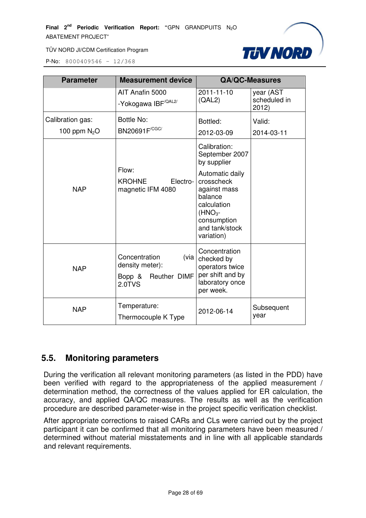

P-No: 8000409546 – 12/368

| <b>Parameter</b>                  | <b>Measurement device</b>                                                        |                                                                                                                                                                                      | <b>QA/QC-Measures</b>             |
|-----------------------------------|----------------------------------------------------------------------------------|--------------------------------------------------------------------------------------------------------------------------------------------------------------------------------------|-----------------------------------|
|                                   | AIT Anafin 5000<br>-Yokogawa IBF <sup>/QAL2/</sup>                               | 2011-11-10<br>(QAL2)                                                                                                                                                                 | year (AST<br>scheduled in<br>2012 |
| Calibration gas:<br>100 ppm $N2O$ | Bottle No:<br>BN20691F <sup>/CGC/</sup>                                          | Bottled:<br>2012-03-09                                                                                                                                                               | Valid:<br>2014-03-11              |
| <b>NAP</b>                        | Flow:<br>KROHNE<br>Electro-<br>magnetic IFM 4080                                 | Calibration:<br>September 2007<br>by supplier<br>Automatic daily<br>crosscheck<br>against mass<br>balance<br>calculation<br>$(HNO3$ -<br>consumption<br>and tank/stock<br>variation) |                                   |
| <b>NAP</b>                        | Concentration<br>(via<br>density meter):<br>Bopp & Reuther DIMF<br><b>2.0TVS</b> | Concentration<br>checked by<br>operators twice<br>per shift and by<br>laboratory once<br>per week.                                                                                   |                                   |
| <b>NAP</b>                        | Temperature:<br>Thermocouple K Type                                              | 2012-06-14                                                                                                                                                                           | Subsequent<br>year                |

# **5.5. Monitoring parameters**

During the verification all relevant monitoring parameters (as listed in the PDD) have been verified with regard to the appropriateness of the applied measurement / determination method, the correctness of the values applied for ER calculation, the accuracy, and applied QA/QC measures. The results as well as the verification procedure are described parameter-wise in the project specific verification checklist.

After appropriate corrections to raised CARs and CLs were carried out by the project participant it can be confirmed that all monitoring parameters have been measured / determined without material misstatements and in line with all applicable standards and relevant requirements.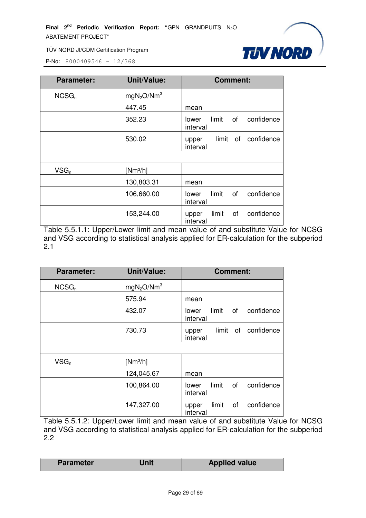

P-No: 8000409546 – 12/368

| <b>Parameter:</b> | <b>Unit/Value:</b>                 | <b>Comment:</b>                                |
|-------------------|------------------------------------|------------------------------------------------|
| NCSG <sub>n</sub> | mgN <sub>2</sub> O/Nm <sup>3</sup> |                                                |
|                   | 447.45                             | mean                                           |
|                   | 352.23                             | limit<br>of<br>confidence<br>lower<br>interval |
|                   | 530.02                             | limit of confidence<br>upper<br>interval       |
|                   |                                    |                                                |
| $VSG_n$           | $[Nm^3/h]$                         |                                                |
|                   | 130,803.31                         | mean                                           |
|                   | 106,660.00                         | limit<br>confidence<br>of<br>lower<br>interval |
|                   | 153,244.00                         | confidence<br>limit<br>οf<br>upper<br>interval |

Table 5.5.1.1: Upper/Lower limit and mean value of and substitute Value for NCSG and VSG according to statistical analysis applied for ER-calculation for the subperiod 2.1

| <b>Parameter:</b> | <b>Unit/Value:</b>                 | <b>Comment:</b>                                |
|-------------------|------------------------------------|------------------------------------------------|
| NCSG <sub>n</sub> | mgN <sub>2</sub> O/Nm <sup>3</sup> |                                                |
|                   | 575.94                             | mean                                           |
|                   | 432.07                             | limit<br>confidence<br>of<br>lower<br>interval |
|                   | 730.73                             | confidence<br>limit of<br>upper<br>interval    |
|                   |                                    |                                                |
| $VSG_n$           | $[Nm^3/h]$                         |                                                |
|                   | 124,045.67                         | mean                                           |
|                   | 100,864.00                         | limit<br>of<br>confidence<br>lower<br>interval |
|                   | 147,327.00                         | limit<br>confidence<br>of<br>upper<br>interval |

Table 5.5.1.2: Upper/Lower limit and mean value of and substitute Value for NCSG and VSG according to statistical analysis applied for ER-calculation for the subperiod 2.2

| <b>Parameter</b> | Unit | <b>Applied value</b> |  |
|------------------|------|----------------------|--|
|------------------|------|----------------------|--|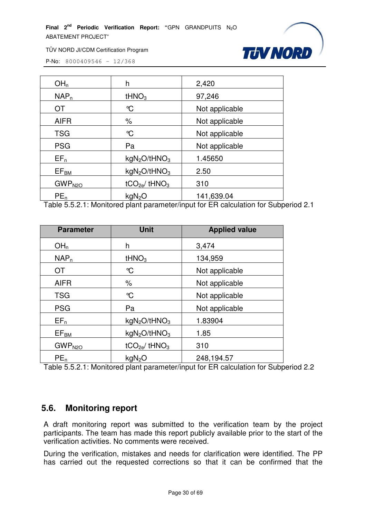

TÜV NORD JI/CDM Certification Program

P-No: 8000409546 – 12/368

| OH <sub>n</sub>    | h                                    | 2,420          |
|--------------------|--------------------------------------|----------------|
| NAP <sub>n</sub>   | tHNO <sub>3</sub>                    | 97,246         |
| ОT                 | $\mathcal{C}$                        | Not applicable |
| <b>AIFR</b>        | $\%$                                 | Not applicable |
| <b>TSG</b>         | $\mathrm{C}$                         | Not applicable |
| <b>PSG</b>         | Pa                                   | Not applicable |
| $EF_n$             | kgN <sub>2</sub> O/tHNO <sub>3</sub> | 1.45650        |
| $EF_{BM}$          | kgN <sub>2</sub> O/tHNO <sub>3</sub> | 2.50           |
| GWP <sub>N2O</sub> | $tCO2e$ / $tHNO3$                    | 310            |
| PE <sub>n</sub>    | kgN <sub>2</sub> O                   | 141,639.04     |

Table 5.5.2.1: Monitored plant parameter/input for ER calculation for Subperiod 2.1

| <b>Parameter</b>   | <b>Unit</b>                          | <b>Applied value</b> |
|--------------------|--------------------------------------|----------------------|
| OH <sub>n</sub>    | h                                    | 3,474                |
| NAP <sub>n</sub>   | tHNO <sub>3</sub>                    | 134,959              |
| <b>OT</b>          | °C                                   | Not applicable       |
| <b>AIFR</b>        | $\%$                                 | Not applicable       |
| <b>TSG</b>         | $\mathrm{C}$                         | Not applicable       |
| <b>PSG</b>         | Pa                                   | Not applicable       |
| $EF_n$             | kgN <sub>2</sub> O/tHNO <sub>3</sub> | 1.83904              |
| EF <sub>BM</sub>   | kgN <sub>2</sub> O/tHNO <sub>3</sub> | 1.85                 |
| GWP <sub>N2O</sub> | $tCO_{2e}/tHNO3$                     | 310                  |
| PE <sub>n</sub>    | kgN <sub>2</sub> O                   | 248,194.57           |

Table 5.5.2.1: Monitored plant parameter/input for ER calculation for Subperiod 2.2

#### **5.6. Monitoring report**

A draft monitoring report was submitted to the verification team by the project participants. The team has made this report publicly available prior to the start of the verification activities. No comments were received.

During the verification, mistakes and needs for clarification were identified. The PP has carried out the requested corrections so that it can be confirmed that the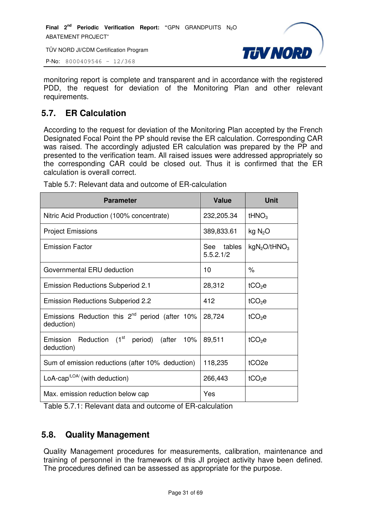TÜV NORD JI/CDM Certification Program



P-No: 8000409546 – 12/368

monitoring report is complete and transparent and in accordance with the registered PDD, the request for deviation of the Monitoring Plan and other relevant requirements.

# **5.7. ER Calculation**

According to the request for deviation of the Monitoring Plan accepted by the French Designated Focal Point the PP should revise the ER calculation. Corresponding CAR was raised. The accordingly adjusted ER calculation was prepared by the PP and presented to the verification team. All raised issues were addressed appropriately so the corresponding CAR could be closed out. Thus it is confirmed that the ER calculation is overall correct.

| <b>Parameter</b>                                                  | <b>Value</b>            | <b>Unit</b>                          |
|-------------------------------------------------------------------|-------------------------|--------------------------------------|
| Nitric Acid Production (100% concentrate)                         | 232,205.34              | tHNO <sub>3</sub>                    |
| <b>Project Emissions</b>                                          | 389,833.61              | kg N <sub>2</sub> O                  |
| <b>Emission Factor</b>                                            | See tables<br>5.5.2.1/2 | kgN <sub>2</sub> O/tHNO <sub>3</sub> |
| Governmental ERU deduction                                        | 10                      | $\%$                                 |
| <b>Emission Reductions Subperiod 2.1</b>                          | 28,312                  | tCO <sub>2</sub> e                   |
| <b>Emission Reductions Subperiod 2.2</b>                          | 412                     | tCO <sub>2</sub> e                   |
| Emissions Reduction this $2^{nd}$ period (after 10%<br>deduction) | 28,724                  | $tCO2$ e                             |
| Reduction $(1st$ period) (after 10%<br>Emission<br>deduction)     | 89,511                  | $tCO2$ e                             |
| Sum of emission reductions (after 10% deduction)                  | 118,235                 | tCO <sub>2e</sub>                    |
| LoA-cap <sup><math>LOA</math></sup> (with deduction)              | 266,443                 | $tCO2$ e                             |
| Max. emission reduction below cap                                 | Yes                     |                                      |

Table 5.7: Relevant data and outcome of ER-calculation

Table 5.7.1: Relevant data and outcome of ER-calculation

# **5.8. Quality Management**

Quality Management procedures for measurements, calibration, maintenance and training of personnel in the framework of this JI project activity have been defined. The procedures defined can be assessed as appropriate for the purpose.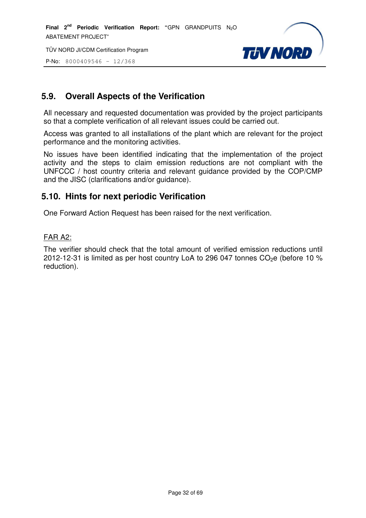TÜV NORD JI/CDM Certification Program

P-No: 8000409546 – 12/368



# **5.9. Overall Aspects of the Verification**

All necessary and requested documentation was provided by the project participants so that a complete verification of all relevant issues could be carried out.

Access was granted to all installations of the plant which are relevant for the project performance and the monitoring activities.

No issues have been identified indicating that the implementation of the project activity and the steps to claim emission reductions are not compliant with the UNFCCC / host country criteria and relevant guidance provided by the COP/CMP and the JISC (clarifications and/or guidance).

#### **5.10. Hints for next periodic Verification**

One Forward Action Request has been raised for the next verification.

#### FAR A2:

The verifier should check that the total amount of verified emission reductions until 2012-12-31 is limited as per host country LoA to 296 047 tonnes  $CO<sub>2</sub>e$  (before 10 % reduction).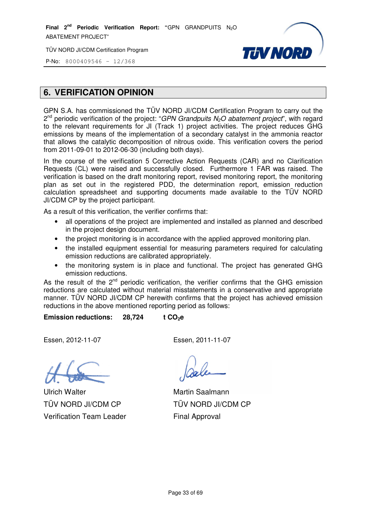**Final 2nd Periodic Verification Report: "**GPN GRANDPUITS N2O ABATEMENT PROJECT"

TÜV NORD JI/CDM Certification Program



P-No: 8000409546 - 12/368

# **6. VERIFICATION OPINION**

GPN S.A. has commissioned the TÜV NORD JI/CDM Certification Program to carry out the 2<sup>nd</sup> periodic verification of the project: "GPN Grandpuits N<sub>2</sub>O abatement project", with regard to the relevant requirements for JI (Track 1) project activities. The project reduces GHG emissions by means of the implementation of a secondary catalyst in the ammonia reactor that allows the catalytic decomposition of nitrous oxide. This verification covers the period from 2011-09-01 to 2012-06-30 30 (including both days).

In the course of the verification 5 Corrective Action Requests (CAR) and no Clarification Requests (CL) were raised and successfully closed. Furthermore 1 FAR was raised. The verification is based on the draft monitoring report, revised monitoring report, the monitoring plan as set out in the registered PDD, the determination report, emission reduction calculation spreadsheet and supporting documents made available to the TÜV NORD JI/CDM CP by the project participant. ication is based on the draft monitoring report, revised monitoring report, the monitoring as set out in the registered PDD, the determination report, emission reduced ulation spreadsheet and supporting documents made avai

As a result of this verification, the verifier confirms that:

- all operations of the project are implemented and installed as planned and described in the project design document.
- the project monitoring is in accordance with the applied approved monitoring plan.
- the installed equipment essential for measuring parameters required for calculating emission reductions are calibrated appropriately.
- the monitoring system is in place and functional. The project has generated GHG emission reductions.

As the result of the  $2^{nd}$  periodic verification, the verifier confirms that the GHG emission reductions are calculated without material misstatements in a conservative and appropriate manner. TUV NORD JI/CDM CP herewith confirms that the project has achieved emission reductions in the above mentioned reporting period as follows: th the appliec<br>asuring para<br>priately.<br>unctional. Th<br>ne verifier co<br>atements in a<br>rms that the

**Emission reductions: 28,724 724 t CO2e**

Essen, 2012-11-07

Ulrich Walter TÜV NORD JI/CDM CP Verification Team Leader

Essen, 2011-11-07

Martin Saalmann TÜV NORD JI/CDM CP Final Approval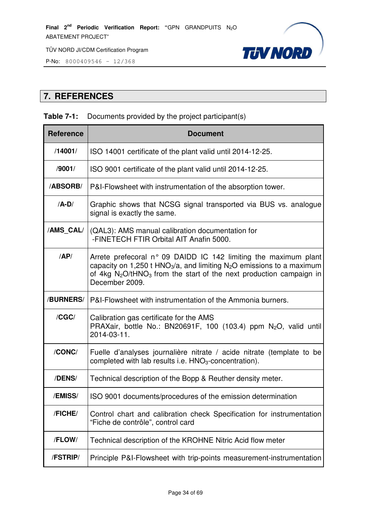

**P-No:** 8000409546 -  $12/368$ 

# **7. REFERENCES**

#### **Table 7-1:** Documents provided by the project participant(s)

| <b>Reference</b> | <b>Document</b>                                                                                                                                                                                                                                    |
|------------------|----------------------------------------------------------------------------------------------------------------------------------------------------------------------------------------------------------------------------------------------------|
| /14001/          | ISO 14001 certificate of the plant valid until 2014-12-25.                                                                                                                                                                                         |
| /9001/           | ISO 9001 certificate of the plant valid until 2014-12-25.                                                                                                                                                                                          |
| /ABSORB/         | P&I-Flowsheet with instrumentation of the absorption tower.                                                                                                                                                                                        |
| $/A-D/$          | Graphic shows that NCSG signal transported via BUS vs. analogue<br>signal is exactly the same.                                                                                                                                                     |
| /AMS_CAL/        | (QAL3): AMS manual calibration documentation for<br>-FINETECH FTIR Orbital AIT Anafin 5000.                                                                                                                                                        |
| AP/              | Arrete prefecoral n° 09 DAIDD IC 142 limiting the maximum plant<br>capacity on 1,250 t HNO <sub>3</sub> /a, and limiting $N_2O$ emissions to a maximum<br>of 4kg $N_2O/tHNO_3$ from the start of the next production campaign in<br>December 2009. |
| /BURNERS/        | P&I-Flowsheet with instrumentation of the Ammonia burners.                                                                                                                                                                                         |
| /CGC/            | Calibration gas certificate for the AMS<br>PRAXair, bottle No.: BN20691F, 100 (103.4) ppm $N_2O$ , valid until<br>2014-03-11.                                                                                                                      |
| /CONC/           | Fuelle d'analyses journalière nitrate / acide nitrate (template to be<br>completed with lab results i.e. $HNO3$ -concentration).                                                                                                                   |
| /DENS/           | Technical description of the Bopp & Reuther density meter.                                                                                                                                                                                         |
| /EMISS/          | ISO 9001 documents/procedures of the emission determination                                                                                                                                                                                        |
| /FICHE/          | Control chart and calibration check Specification for instrumentation<br>"Fiche de contrôle", control card                                                                                                                                         |
| /FLOW/           | Technical description of the KROHNE Nitric Acid flow meter                                                                                                                                                                                         |
| /FSTRIP/         | Principle P&I-Flowsheet with trip-points measurement-instrumentation                                                                                                                                                                               |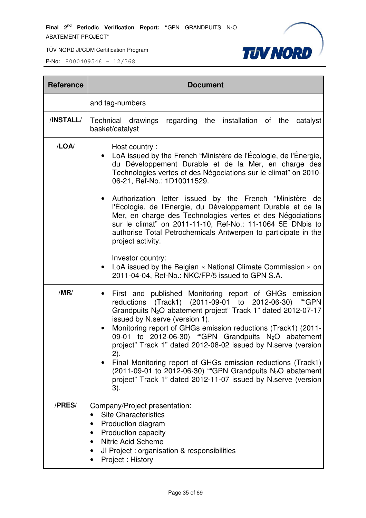

| <b>Reference</b> | <b>Document</b>                                                                                                                                                                                                                                                                                                                                                                                                                                                                                                                                                                                                                                                                                                                   |
|------------------|-----------------------------------------------------------------------------------------------------------------------------------------------------------------------------------------------------------------------------------------------------------------------------------------------------------------------------------------------------------------------------------------------------------------------------------------------------------------------------------------------------------------------------------------------------------------------------------------------------------------------------------------------------------------------------------------------------------------------------------|
|                  | and tag-numbers                                                                                                                                                                                                                                                                                                                                                                                                                                                                                                                                                                                                                                                                                                                   |
| /INSTALL/        | Technical drawings<br>regarding the installation of the catalyst<br>basket/catalyst                                                                                                                                                                                                                                                                                                                                                                                                                                                                                                                                                                                                                                               |
| /LOA/            | Host country:<br>LoA issued by the French "Ministère de l'Écologie, de l'Énergie,<br>du Développement Durable et de la Mer, en charge des<br>Technologies vertes et des Négociations sur le climat" on 2010-<br>06-21, Ref-No.: 1D10011529.<br>Authorization letter issued by the French "Ministère de<br>l'Écologie, de l'Énergie, du Développement Durable et de la<br>Mer, en charge des Technologies vertes et des Négociations<br>sur le climat" on 2011-11-10, Ref-No.: 11-1064 5E DNbis to<br>authorise Total Petrochemicals Antwerpen to participate in the<br>project activity.<br>Investor country:<br>LoA issued by the Belgian « National Climate Commission » on<br>2011-04-04, Ref-No.: NKC/FP/5 issued to GPN S.A. |
| /MR/             | First and published Monitoring report of GHGs emission<br>reductions (Track1) (2011-09-01 to 2012-06-30) "GPN<br>Grandpuits N <sub>2</sub> O abatement project" Track 1" dated 2012-07-17<br>issued by N.serve (version 1).<br>Monitoring report of GHGs emission reductions (Track1) (2011-<br>09-01 to 2012-06-30) "GPN Grandpuits N <sub>2</sub> O abatement<br>project" Track 1" dated 2012-08-02 issued by N.serve (version<br>2).<br>Final Monitoring report of GHGs emission reductions (Track1)<br>$(2011-09-01)$ to 2012-06-30) "GPN Grandpuits N <sub>2</sub> O abatement<br>project" Track 1" dated 2012-11-07 issued by N.serve (version<br>3).                                                                       |
| /PRES/           | Company/Project presentation:<br><b>Site Characteristics</b><br>Production diagram<br>$\bullet$<br>Production capacity<br><b>Nitric Acid Scheme</b><br>$\bullet$<br>JI Project : organisation & responsibilities<br>Project: History                                                                                                                                                                                                                                                                                                                                                                                                                                                                                              |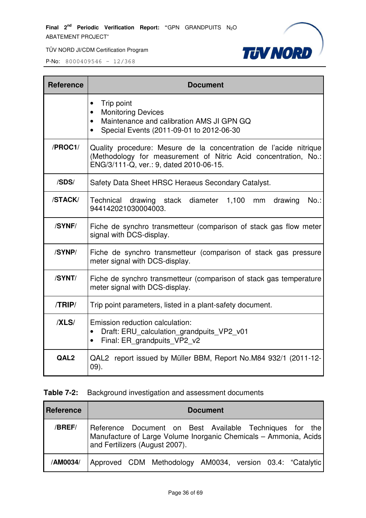TÜV NORD JI/CDM Certification Program



P-No: 8000409546 – 12/368

| <b>Reference</b> | <b>Document</b>                                                                                                                                                                 |
|------------------|---------------------------------------------------------------------------------------------------------------------------------------------------------------------------------|
|                  | Trip point<br>$\bullet$<br><b>Monitoring Devices</b><br>Maintenance and calibration AMS JI GPN GQ<br>$\bullet$<br>Special Events (2011-09-01 to 2012-06-30                      |
| /PROC1/          | Quality procedure: Mesure de la concentration de l'acide nitrique<br>(Methodology for measurement of Nitric Acid concentration, No.:<br>ENG/3/111-Q, ver.: 9, dated 2010-06-15. |
| /SDS/            | Safety Data Sheet HRSC Heraeus Secondary Catalyst.                                                                                                                              |
| /STACK/          | Technical drawing stack diameter 1,100<br>drawing<br>$No.$ :<br>mm<br>944142021030004003.                                                                                       |
| /SYNF/           | Fiche de synchro transmetteur (comparison of stack gas flow meter<br>signal with DCS-display.                                                                                   |
| /SYNP/           | Fiche de synchro transmetteur (comparison of stack gas pressure<br>meter signal with DCS-display.                                                                               |
| /SYNT/           | Fiche de synchro transmetteur (comparison of stack gas temperature<br>meter signal with DCS-display.                                                                            |
| /TRIP/           | Trip point parameters, listed in a plant-safety document.                                                                                                                       |
| /XLS/            | Emission reduction calculation:<br>Draft: ERU calculation grandpuits VP2 v01<br>$\bullet$<br>Final: ER grandpuits VP2 v2<br>$\bullet$                                           |
| QAL <sub>2</sub> | QAL2 report issued by Müller BBM, Report No.M84 932/1 (2011-12-<br>$(09)$ .                                                                                                     |

#### **Table 7-2:** Background investigation and assessment documents

| Reference | <b>Document</b>                                                                                                                                               |
|-----------|---------------------------------------------------------------------------------------------------------------------------------------------------------------|
| /BREF/    | Reference Document on Best Available Techniques for the<br>Manufacture of Large Volume Inorganic Chemicals - Ammonia, Acids<br>and Fertilizers (August 2007). |
| /AM0034/  | Approved CDM Methodology AM0034, version 03.4: "Catalytic                                                                                                     |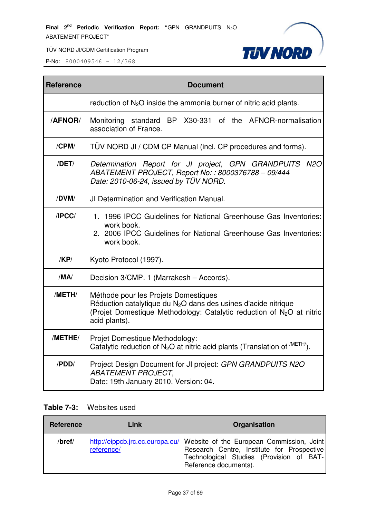

**P-No:** 8000409546 - 12/368

| <b>Reference</b> | <b>Document</b>                                                                                                                                                                                               |
|------------------|---------------------------------------------------------------------------------------------------------------------------------------------------------------------------------------------------------------|
|                  | reduction of $N_2O$ inside the ammonia burner of nitric acid plants.                                                                                                                                          |
| <b>/AFNOR/</b>   | Monitoring standard BP X30-331 of the AFNOR-normalisation<br>association of France.                                                                                                                           |
| /CPM/            | TUV NORD JI / CDM CP Manual (incl. CP procedures and forms).                                                                                                                                                  |
| /DET/            | <b>N2O</b><br>Determination Report for JI project, GPN GRANDPUITS<br>ABATEMENT PROJECT, Report No:: 8000376788 - 09/444<br>Date: 2010-06-24, issued by TÜV NORD.                                              |
| /DVM/            | <b>JI Determination and Verification Manual.</b>                                                                                                                                                              |
| IPCC/            | 1. 1996 IPCC Guidelines for National Greenhouse Gas Inventories:<br>work book.<br>2. 2006 IPCC Guidelines for National Greenhouse Gas Inventories:<br>work book.                                              |
| /KP/             | Kyoto Protocol (1997).                                                                                                                                                                                        |
| /MA/             | Decision 3/CMP. 1 (Marrakesh - Accords).                                                                                                                                                                      |
| /METH/           | Méthode pour les Projets Domestiques<br>Réduction catalytique du $N2O$ dans des usines d'acide nitrique<br>(Projet Domestique Methodology: Catalytic reduction of N <sub>2</sub> O at nitric<br>acid plants). |
| /METHE/          | Projet Domestique Methodology:<br>Catalytic reduction of $N_2O$ at nitric acid plants (Translation of $^{METH}$ ).                                                                                            |
| /PDD/            | Project Design Document for JI project: GPN GRANDPUITS N2O<br><b>ABATEMENT PROJECT,</b><br>Date: 19th January 2010, Version: 04.                                                                              |

#### **Table 7-3:** Websites used

| Reference | Link       | Organisation                                                                                                                                                                                 |
|-----------|------------|----------------------------------------------------------------------------------------------------------------------------------------------------------------------------------------------|
| /bref/    | reference/ | http://eippcb.jrc.ec.europa.eu/ Website of the European Commission, Joint<br>Research Centre, Institute for Prospective<br>Technological Studies (Provision of BAT-<br>Reference documents). |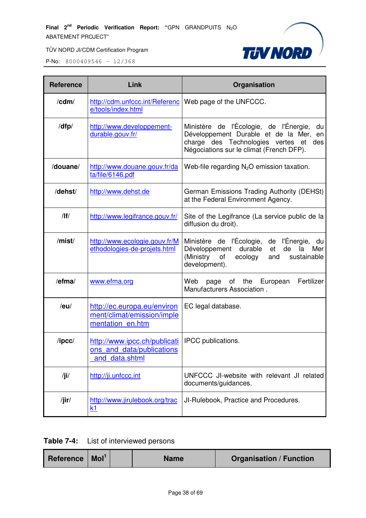

| <b>Reference</b>                                                        | Link                                                                          | Organisation                                                                                                                                                                   |
|-------------------------------------------------------------------------|-------------------------------------------------------------------------------|--------------------------------------------------------------------------------------------------------------------------------------------------------------------------------|
| /cdm/                                                                   | http://cdm.unfccc.int/Referenc<br>e/tools/index.html                          | Web page of the UNFCCC.                                                                                                                                                        |
| /dfp/                                                                   | http://www.developpement-<br>durable.gouv.fr/                                 | Ministère de l'Écologie, de l'Énergie,<br>du<br>Développement Durable et de la Mer,<br>en<br>charge des Technologies vertes et des<br>Négociations sur le climat (French DFP). |
| /douane/                                                                | http://www.douane.gouv.fr/da<br>ta/file/6146.pdf                              | Web-file regarding $N_2O$ emission taxation.                                                                                                                                   |
| /dehst/                                                                 | http://www.dehst.de                                                           | German Emissions Trading Authority (DEHSt)<br>at the Federal Environment Agency.                                                                                               |
| /                                                                       | http://www.legifrance.gouv.fr/                                                | Site of the Legifrance (La service public de la<br>diffusion du droit).                                                                                                        |
| /mist/<br>http://www.ecologie.gouv.fr/M<br>ethodologies-de-projets.html |                                                                               | Ministère de l'Écologie,<br>de l'Énergie,<br>du<br>durable<br>Développement<br>de<br>la<br>et<br>Mer<br>(Ministry<br>sustainable<br>ecology<br>of<br>and<br>development).      |
| /efma/                                                                  | www.efma.org                                                                  | Web<br>of the European<br>Fertilizer<br>page<br>Manufacturers Association.                                                                                                     |
| /eu/                                                                    | http://ec.europa.eu/environ<br>ment/climat/emission/imple<br>mentation en.htm | EC legal database.                                                                                                                                                             |
| $/$ ipcc $/$                                                            | http://www.ipcc.ch/publicati<br>ons and data/publications<br>and data.shtml   | IPCC publications.                                                                                                                                                             |
| /ji/                                                                    | http://ji.unfccc.int                                                          | UNFCCC JI-website with relevant JI related<br>documents/guidances.                                                                                                             |
| /jir/                                                                   | http://www.jirulebook.org/trac<br>k1                                          | JI-Rulebook, Practice and Procedures.                                                                                                                                          |

| Table 7-4: | List of interviewed persons |
|------------|-----------------------------|
|------------|-----------------------------|

| Reference $\vert$ Mol <sup>1</sup><br><b>Organisation / Function</b><br><b>Name</b> |
|-------------------------------------------------------------------------------------|
|-------------------------------------------------------------------------------------|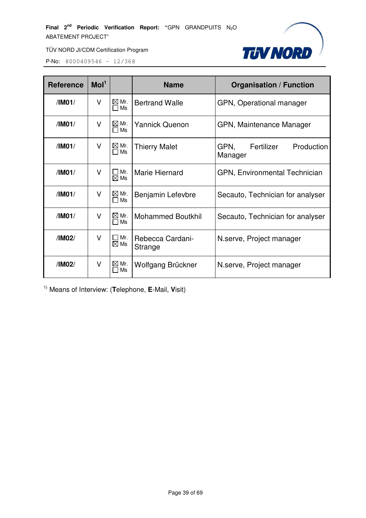

TÜV NORD JI/CDM Certification Program

P-No: 8000409546 – 12/368

| <b>Reference</b> | Mol <sup>1</sup> |                              | <b>Name</b>                 | <b>Organisation / Function</b>              |  |  |
|------------------|------------------|------------------------------|-----------------------------|---------------------------------------------|--|--|
| /IM01/           | v                | $\boxtimes$ Mr.<br>Ms<br>Fт  | <b>Bertrand Walle</b>       | GPN, Operational manager                    |  |  |
| /IMO1/           | v                | $\boxtimes$ Mr.<br>$\Box$ Ms | <b>Yannick Quenon</b>       | GPN, Maintenance Manager                    |  |  |
| /IM01/           | v                | $\boxtimes$ Mr.<br>$\Box$ Ms | <b>Thierry Malet</b>        | GPN,<br>Fertilizer<br>Production<br>Manager |  |  |
| /IMO1/           | V                | $\Box$ Mr.<br>$\boxtimes$ Ms | Marie Hiernard              | GPN, Environmental Technician               |  |  |
| /IM01/           | V                | $\boxtimes$ Mr.<br>$\Box$ Ms | Benjamin Lefevbre           | Secauto, Technician for analyser            |  |  |
| /IM01/           | v                | $\boxtimes$ Mr.<br>$\Box$ Ms | <b>Mohammed Boutkhil</b>    | Secauto, Technician for analyser            |  |  |
| /IM02/           | V                | $\Box$ Mr.<br>$\boxtimes$ Ms | Rebecca Cardani-<br>Strange | N.serve, Project manager                    |  |  |
| /IM02/           | v                | $\boxtimes$ Mr.<br>Ms        | Wolfgang Brückner           | N.serve, Project manager                    |  |  |

1) Means of Interview: (**T**elephone, **E**-Mail, **V**isit)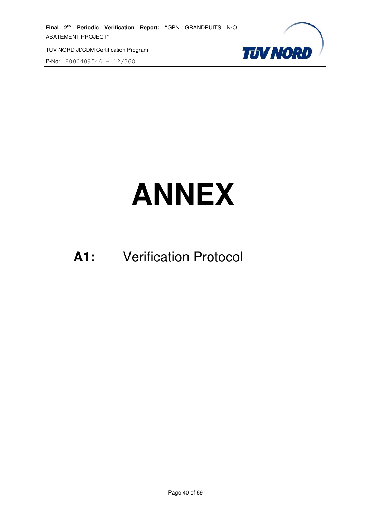P-No: 8000409546 – 12/368



# **ANNEX**

# **A1:** Verification Protocol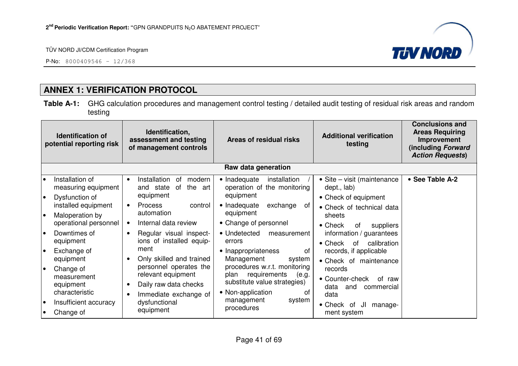P-No: 8000409546 – 12/368



# **ANNEX 1: VERIFICATION PROTOCOL**

**Table A-1:** GHG calculation procedures and management control testing / detailed audit testing of residual risk areas and random testing

|                 | <b>Identification of</b><br>potential reporting risk                              | Identification,<br>assessment and testing<br>of management controls                                         | Areas of residual risks                                                                                                  | <b>Additional verification</b><br>testing                                                         | <b>Conclusions and</b><br><b>Areas Requiring</b><br>Improvement<br>(including Forward<br><b>Action Requests)</b> |
|-----------------|-----------------------------------------------------------------------------------|-------------------------------------------------------------------------------------------------------------|--------------------------------------------------------------------------------------------------------------------------|---------------------------------------------------------------------------------------------------|------------------------------------------------------------------------------------------------------------------|
|                 |                                                                                   |                                                                                                             | Raw data generation                                                                                                      |                                                                                                   |                                                                                                                  |
| l o             | Installation of<br>measuring equipment                                            | Installation<br>modern<br>0f<br>$\bullet$<br>the<br>and state<br>0f<br>art<br>equipment                     | • Inadequate<br>installation<br>operation of the monitoring<br>equipment                                                 | • Site – visit (maintenance<br>dept., lab)                                                        | • See Table A-2                                                                                                  |
| $\bullet$<br>I۰ | Dysfunction of<br>installed equipment<br>Maloperation by<br>operational personnel | <b>Process</b><br>control<br>$\bullet$<br>automation<br>Internal data review                                | • Inadequate<br>exchange<br>0f<br>equipment<br>• Change of personnel                                                     | • Check of equipment<br>• Check of technical data<br>sheets<br>$\bullet$ Check<br>suppliers<br>0f |                                                                                                                  |
| l o             | Downtimes of<br>equipment                                                         | Regular visual inspect-<br>$\bullet$<br>ions of installed equip-                                            | • Undetected<br>measurement<br>errors                                                                                    | information / guarantees<br>calibration<br>$\bullet$ Check<br>0f                                  |                                                                                                                  |
| l o             | Exchange of<br>equipment                                                          | ment<br>Only skilled and trained<br>$\bullet$                                                               | • Inappropriateness<br>0f<br>Management<br>system                                                                        | records, if applicable<br>• Check of maintenance                                                  |                                                                                                                  |
| $\bullet$       | Change of<br>measurement<br>equipment<br>characteristic                           | personnel operates the<br>relevant equipment<br>Daily raw data checks<br>$\bullet$<br>Immediate exchange of | procedures w.r.t. monitoring<br>requirements<br>(e.g.<br>plan<br>substitute value strategies)<br>• Non-application<br>0f | records<br>• Counter-check<br>of raw<br>data<br>and<br>commercial<br>data                         |                                                                                                                  |
| $\bullet$       | Insufficient accuracy<br>Change of                                                | dysfunctional<br>equipment                                                                                  | management<br>system<br>procedures                                                                                       | • Check of<br>JI<br>manage-<br>ment system                                                        |                                                                                                                  |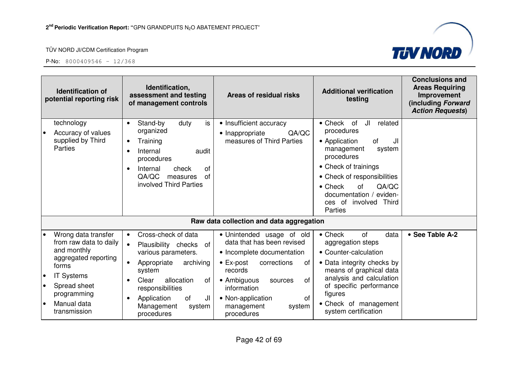



| <b>Identification of</b><br>potential reporting risk                                                                                                                                                       | Identification,<br>assessment and testing<br>of management controls                                                                                                                                                                                       | Areas of residual risks                                                                                                                                                                                                                                           | <b>Additional verification</b><br>testing                                                                                                                                                                                                                                              | <b>Conclusions and</b><br><b>Areas Requiring</b><br>Improvement<br>(including Forward<br><b>Action Requests)</b> |
|------------------------------------------------------------------------------------------------------------------------------------------------------------------------------------------------------------|-----------------------------------------------------------------------------------------------------------------------------------------------------------------------------------------------------------------------------------------------------------|-------------------------------------------------------------------------------------------------------------------------------------------------------------------------------------------------------------------------------------------------------------------|----------------------------------------------------------------------------------------------------------------------------------------------------------------------------------------------------------------------------------------------------------------------------------------|------------------------------------------------------------------------------------------------------------------|
| technology<br>Accuracy of values<br>$\bullet$<br>supplied by Third<br>Parties                                                                                                                              | is<br>Stand-by<br>duty<br>$\bullet$<br>organized<br>Training<br>$\bullet$<br>Internal<br>audit<br>$\bullet$<br>procedures<br>Internal<br>check<br>0f<br>QA/QC<br>0f<br>measures<br>involved Third Parties                                                 | • Insufficient accuracy<br>QA/QC<br>• Inappropriate<br>measures of Third Parties                                                                                                                                                                                  | JI<br>related<br>$\bullet$ Check<br>of<br>procedures<br>• Application<br>of<br>JI<br>management<br>system<br>procedures<br>• Check of trainings<br>• Check of responsibilities<br>$\bullet$ Check<br>QA/QC<br>of<br>documentation / eviden-<br>ces of involved Third<br><b>Parties</b> |                                                                                                                  |
|                                                                                                                                                                                                            |                                                                                                                                                                                                                                                           | Raw data collection and data aggregation                                                                                                                                                                                                                          |                                                                                                                                                                                                                                                                                        |                                                                                                                  |
| Wrong data transfer<br>from raw data to daily<br>and monthly<br>aggregated reporting<br>forms<br><b>IT Systems</b><br>Spread sheet<br>$\bullet$<br>programming<br>Manual data<br>$\bullet$<br>transmission | Cross-check of data<br>$\bullet$<br>Plausibility checks<br>of<br>$\bullet$<br>various parameters.<br>Appropriate<br>archiving<br>system<br>Clear<br>allocation<br>of<br>responsibilities<br>Application<br>of<br>JI<br>Management<br>system<br>procedures | • Unintended usage of old<br>data that has been revised<br>• Incomplete documentation<br>$\bullet$ Ex-post<br>corrections<br>of<br>records<br>• Ambiguous<br>of<br>sources<br>information<br><b>of</b><br>• Non-application<br>management<br>system<br>procedures | $\bullet$ Check<br>of<br>data<br>aggregation steps<br>• Counter-calculation<br>• Data integrity checks by<br>means of graphical data<br>analysis and calculation<br>of specific performance<br>figures<br>• Check of management<br>system certification                                | • See Table A-2                                                                                                  |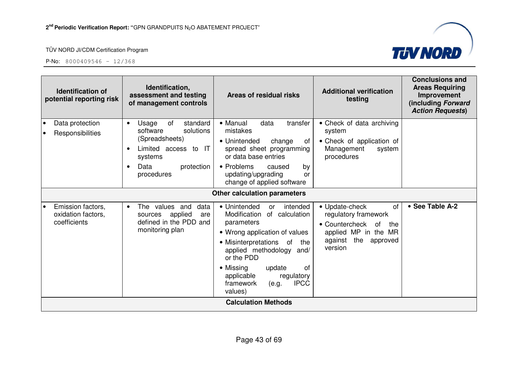



| Identification,<br><b>Identification of</b><br>assessment and testing<br>potential reporting risk<br>of management controls |                                                                                                                                                                     | Areas of residual risks                                                                                                                                                                                                                                                                                     | <b>Additional verification</b><br>testing                                                                                                    | <b>Conclusions and</b><br><b>Areas Requiring</b><br>Improvement<br>(including Forward<br><b>Action Requests)</b> |
|-----------------------------------------------------------------------------------------------------------------------------|---------------------------------------------------------------------------------------------------------------------------------------------------------------------|-------------------------------------------------------------------------------------------------------------------------------------------------------------------------------------------------------------------------------------------------------------------------------------------------------------|----------------------------------------------------------------------------------------------------------------------------------------------|------------------------------------------------------------------------------------------------------------------|
| Data protection<br>$\bullet$<br>Responsibilities                                                                            | of<br>standard<br>Usage<br>$\bullet$<br>software<br>solutions<br>(Spreadsheets)<br>Limited access to IT<br>systems<br>Data<br>protection<br>$\bullet$<br>procedures | • Manual<br>data<br>transfer<br>mistakes<br>• Unintended<br>change<br>ot<br>spread sheet programming<br>or data base entries<br>• Problems<br>by<br>caused<br>updating/upgrading<br>or<br>change of applied software                                                                                        | • Check of data archiving<br>system<br>• Check of application of<br>Management<br>system<br>procedures                                       |                                                                                                                  |
|                                                                                                                             |                                                                                                                                                                     | Other calculation parameters                                                                                                                                                                                                                                                                                |                                                                                                                                              |                                                                                                                  |
| Emission factors,<br>$\bullet$<br>oxidation factors,<br>coefficients                                                        | The values and<br>data<br>$\bullet$<br>applied<br>sources<br>are<br>defined in the PDD and<br>monitoring plan                                                       | • Unintended<br>intended<br><b>or</b><br>Modification<br>of calculation<br>parameters<br>• Wrong application of values<br>• Misinterpretations of<br>the<br>applied methodology and/<br>or the PDD<br>• Missing<br>0f<br>update<br>regulatory<br>applicable<br><b>IPCC</b><br>framework<br>(e.g.<br>values) | • Update-check<br>0f<br>regulatory framework<br>• Countercheck<br>of<br>the<br>applied MP in the MR<br>the<br>against<br>approved<br>version | • See Table A-2                                                                                                  |
|                                                                                                                             |                                                                                                                                                                     | <b>Calculation Methods</b>                                                                                                                                                                                                                                                                                  |                                                                                                                                              |                                                                                                                  |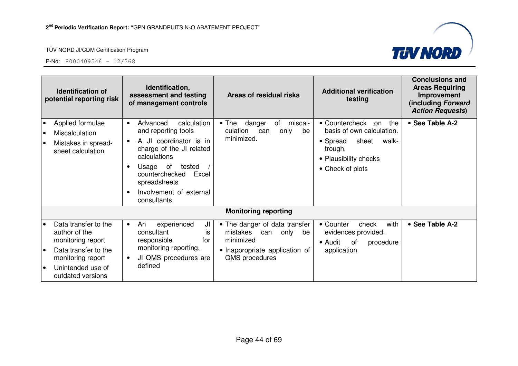

|                               | <b>Identification of</b><br>potential reporting risk                                                                                              | Identification,<br>assessment and testing<br>of management controls                                                                                                                                                           | Areas of residual risks                                                                                                         | <b>Additional verification</b><br>testing                                                                                                      | <b>Conclusions and</b><br><b>Areas Requiring</b><br>Improvement<br>(including Forward<br><b>Action Requests)</b> |
|-------------------------------|---------------------------------------------------------------------------------------------------------------------------------------------------|-------------------------------------------------------------------------------------------------------------------------------------------------------------------------------------------------------------------------------|---------------------------------------------------------------------------------------------------------------------------------|------------------------------------------------------------------------------------------------------------------------------------------------|------------------------------------------------------------------------------------------------------------------|
| $\bullet$<br>$\bullet$<br>ه ا | Applied formulae<br>Miscalculation<br>Mistakes in spread-<br>sheet calculation                                                                    | Advanced<br>calculation<br>$\bullet$<br>and reporting tools<br>A JI coordinator is in<br>charge of the JI related<br>calculations<br>Usage of<br>tested<br>counterchecked<br>Excel<br>spreadsheets<br>Involvement of external | $\bullet$ The<br>danger<br>of<br>miscal-<br>culation<br>only<br>can<br>be<br>minimized.                                         | • Countercheck<br>the<br>on<br>basis of own calculation.<br>• Spread<br>sheet<br>walk-<br>trough.<br>• Plausibility checks<br>• Check of plots | • See Table A-2                                                                                                  |
|                               |                                                                                                                                                   | consultants                                                                                                                                                                                                                   | <b>Monitoring reporting</b>                                                                                                     |                                                                                                                                                |                                                                                                                  |
| l e<br>١o<br>$\bullet$        | Data transfer to the<br>author of the<br>monitoring report<br>Data transfer to the<br>monitoring report<br>Unintended use of<br>outdated versions | JI<br>An<br>experienced<br>$\bullet$<br>consultant<br>is<br>responsible<br>for<br>monitoring reporting.<br>JI QMS procedures are<br>defined                                                                                   | • The danger of data transfer<br>mistakes<br>can<br>only<br>be<br>minimized<br>• Inappropriate application of<br>QMS procedures | with<br>• Counter<br>check<br>evidences provided.<br>• Audit<br>of<br>procedure<br>application                                                 | • See Table A-2                                                                                                  |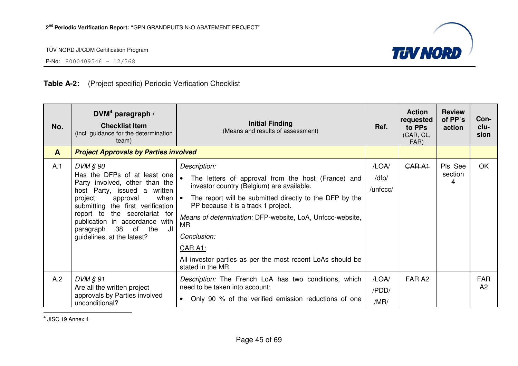

P-No: 8000409546 – 12/368

## **Table A-2:** (Project specific) Periodic Verfication Checklist

| No.          | $DWM4$ paragraph /<br><b>Checklist Item</b><br>(incl. guidance for the determination<br>team)                                                                                                                                                                                                                                         | <b>Initial Finding</b><br>(Means and results of assessment)                                                                                                                                                                                                                                                                                                                                        | Ref.                       | <b>Action</b><br>requested<br>to PPs<br>(CAR, CL,<br>FAR) | <b>Review</b><br>of PP's<br>action | Con-<br>clu-<br>sion |
|--------------|---------------------------------------------------------------------------------------------------------------------------------------------------------------------------------------------------------------------------------------------------------------------------------------------------------------------------------------|----------------------------------------------------------------------------------------------------------------------------------------------------------------------------------------------------------------------------------------------------------------------------------------------------------------------------------------------------------------------------------------------------|----------------------------|-----------------------------------------------------------|------------------------------------|----------------------|
| $\mathbf{A}$ | <b>Project Approvals by Parties involved</b>                                                                                                                                                                                                                                                                                          |                                                                                                                                                                                                                                                                                                                                                                                                    |                            |                                                           |                                    |                      |
| A.1          | DVM § 90<br>Has the DFPs of at least one<br>Party involved, other than the<br>host Party, issued a written<br>project<br>when $\vert \bullet \vert$<br>approval<br>submitting the first verification<br>the secretariat for<br>report to<br>publication in accordance with<br>paragraph 38 of the<br>JI<br>guidelines, at the latest? | Description:<br>The letters of approval from the host (France) and<br>investor country (Belgium) are available.<br>The report will be submitted directly to the DFP by the<br>PP because it is a track 1 project.<br>Means of determination: DFP-website, LoA, Unfccc-website,<br>MR.<br>Conclusion:<br>CAR A1:<br>All investor parties as per the most recent LoAs should be<br>stated in the MR. | /LOA/<br>/dfp/<br>/unfccc/ | GAR A1                                                    | Pls. See<br>section<br>4           | <b>OK</b>            |
| A.2          | $DVM \, \S\, 91$<br>Are all the written project<br>approvals by Parties involved<br>unconditional?                                                                                                                                                                                                                                    | Description: The French LoA has two conditions, which<br>need to be taken into account:<br>Only 90 % of the verified emission reductions of one<br>$\bullet$                                                                                                                                                                                                                                       | /LOA/<br>/PDD/<br>/MR/     | FAR A <sub>2</sub>                                        |                                    | <b>FAR</b><br>A2     |

 $<sup>4</sup>$  JISC 19 Annex 4</sup>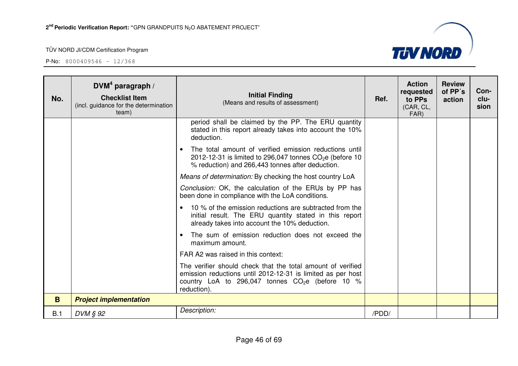

| No. | DVM <sup>4</sup> paragraph /<br><b>Checklist Item</b><br>(incl. guidance for the determination<br>team) | <b>Initial Finding</b><br>(Means and results of assessment)                                                                                                                                    | Ref.  | <b>Action</b><br>requested<br>to PPs<br>(CAR, CL,<br>FAR) | <b>Review</b><br>of PP's<br>action | Con-<br>clu-<br>sion |
|-----|---------------------------------------------------------------------------------------------------------|------------------------------------------------------------------------------------------------------------------------------------------------------------------------------------------------|-------|-----------------------------------------------------------|------------------------------------|----------------------|
|     |                                                                                                         | period shall be claimed by the PP. The ERU quantity<br>stated in this report already takes into account the 10%<br>deduction.                                                                  |       |                                                           |                                    |                      |
|     |                                                                                                         | The total amount of verified emission reductions until<br>$\bullet$<br>2012-12-31 is limited to 296,047 tonnes $CO2e$ (before 10<br>% reduction) and 266,443 tonnes after deduction.           |       |                                                           |                                    |                      |
|     |                                                                                                         | Means of determination: By checking the host country LoA                                                                                                                                       |       |                                                           |                                    |                      |
|     |                                                                                                         | Conclusion: OK, the calculation of the ERUs by PP has<br>been done in compliance with the LoA conditions.                                                                                      |       |                                                           |                                    |                      |
|     |                                                                                                         | 10 % of the emission reductions are subtracted from the<br>$\bullet$<br>initial result. The ERU quantity stated in this report<br>already takes into account the 10% deduction.                |       |                                                           |                                    |                      |
|     |                                                                                                         | The sum of emission reduction does not exceed the<br>$\bullet$<br>maximum amount.                                                                                                              |       |                                                           |                                    |                      |
|     |                                                                                                         | FAR A2 was raised in this context:                                                                                                                                                             |       |                                                           |                                    |                      |
|     |                                                                                                         | The verifier should check that the total amount of verified<br>emission reductions until 2012-12-31 is limited as per host<br>country LoA to 296,047 tonnes $CO2e$ (before 10 %<br>reduction). |       |                                                           |                                    |                      |
| B.  | <b>Project implementation</b>                                                                           |                                                                                                                                                                                                |       |                                                           |                                    |                      |
| B.1 | DVM § 92                                                                                                | Description:                                                                                                                                                                                   | /PDD/ |                                                           |                                    |                      |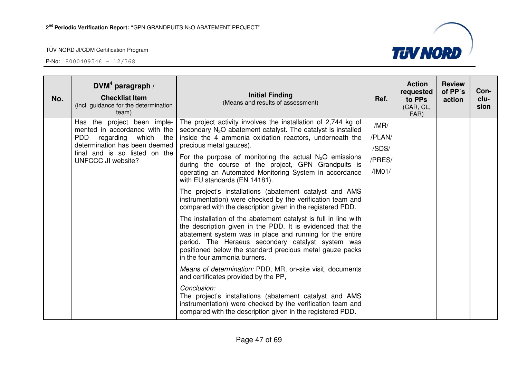

| No. | DVM <sup>4</sup> paragraph /<br><b>Checklist Item</b><br>(incl. guidance for the determination<br>team)                          | <b>Initial Finding</b><br>(Means and results of assessment)                                                                                                                                                                                                                                                                                | Ref.            | <b>Action</b><br>requested<br>to PPs<br>(CAR, CL,<br>FAR) | <b>Review</b><br>of PP's<br>action | Con-<br>clu-<br>sion |
|-----|----------------------------------------------------------------------------------------------------------------------------------|--------------------------------------------------------------------------------------------------------------------------------------------------------------------------------------------------------------------------------------------------------------------------------------------------------------------------------------------|-----------------|-----------------------------------------------------------|------------------------------------|----------------------|
|     | Has the project been imple-<br>mented in accordance with the                                                                     | The project activity involves the installation of 2,744 kg of<br>secondary $N_2O$ abatement catalyst. The catalyst is installed                                                                                                                                                                                                            | /MR/            |                                                           |                                    |                      |
|     | <b>PDD</b><br>regarding which the<br>determination has been deemed<br>final and is so listed on the<br><b>UNFCCC JI website?</b> | inside the 4 ammonia oxidation reactors, underneath the<br>precious metal gauzes).                                                                                                                                                                                                                                                         | /PLAN/<br>/SDS/ |                                                           |                                    |                      |
|     |                                                                                                                                  | For the purpose of monitoring the actual $N_2O$ emissions                                                                                                                                                                                                                                                                                  | /PRES/          |                                                           |                                    |                      |
|     |                                                                                                                                  | during the course of the project, GPN Grandpuits is<br>operating an Automated Monitoring System in accordance<br>with EU standards (EN 14181).                                                                                                                                                                                             | /IMO1/          |                                                           |                                    |                      |
|     |                                                                                                                                  | The project's installations (abatement catalyst and AMS<br>instrumentation) were checked by the verification team and<br>compared with the description given in the registered PDD.                                                                                                                                                        |                 |                                                           |                                    |                      |
|     |                                                                                                                                  | The installation of the abatement catalyst is full in line with<br>the description given in the PDD. It is evidenced that the<br>abatement system was in place and running for the entire<br>period. The Heraeus secondary catalyst system was<br>positioned below the standard precious metal gauze packs<br>in the four ammonia burners. |                 |                                                           |                                    |                      |
|     |                                                                                                                                  | Means of determination: PDD, MR, on-site visit, documents<br>and certificates provided by the PP,                                                                                                                                                                                                                                          |                 |                                                           |                                    |                      |
|     |                                                                                                                                  | Conclusion:<br>The project's installations (abatement catalyst and AMS<br>instrumentation) were checked by the verification team and<br>compared with the description given in the registered PDD.                                                                                                                                         |                 |                                                           |                                    |                      |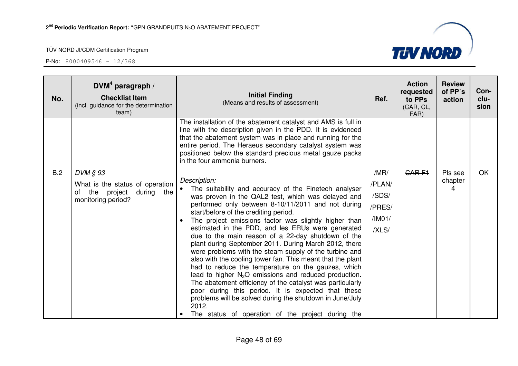| No. | DVM <sup>4</sup> paragraph /<br><b>Checklist Item</b><br>(incl. guidance for the determination<br>team) | <b>Initial Finding</b><br>(Means and results of assessment)                                                                                                                                                                                                                                                                                                                                                                                                                                                                                                                                                                                                                                                                                                                                                                                                                                                                                             | Ref.                                                 | <b>Action</b><br>requested<br>to PPs<br>(CAR, CL,<br>FAR) | <b>Review</b><br>of PP's<br>action | Con-<br>clu-<br>sion |
|-----|---------------------------------------------------------------------------------------------------------|---------------------------------------------------------------------------------------------------------------------------------------------------------------------------------------------------------------------------------------------------------------------------------------------------------------------------------------------------------------------------------------------------------------------------------------------------------------------------------------------------------------------------------------------------------------------------------------------------------------------------------------------------------------------------------------------------------------------------------------------------------------------------------------------------------------------------------------------------------------------------------------------------------------------------------------------------------|------------------------------------------------------|-----------------------------------------------------------|------------------------------------|----------------------|
|     |                                                                                                         | The installation of the abatement catalyst and AMS is full in<br>line with the description given in the PDD. It is evidenced<br>that the abatement system was in place and running for the<br>entire period. The Heraeus secondary catalyst system was<br>positioned below the standard precious metal gauze packs<br>in the four ammonia burners.                                                                                                                                                                                                                                                                                                                                                                                                                                                                                                                                                                                                      |                                                      |                                                           |                                    |                      |
| B.2 | DVM § 93<br>What is the status of operation<br>the project<br>during the<br>of<br>monitoring period?    | Description:<br>The suitability and accuracy of the Finetech analyser<br>was proven in the QAL2 test, which was delayed and<br>performed only between 8-10/11/2011 and not during<br>start/before of the crediting period.<br>The project emissions factor was slightly higher than<br>estimated in the PDD, and les ERUs were generated<br>due to the main reason of a 22-day shutdown of the<br>plant during September 2011. During March 2012, there<br>were problems with the steam supply of the turbine and<br>also with the cooling tower fan. This meant that the plant<br>had to reduce the temperature on the gauzes, which<br>lead to higher N <sub>2</sub> O emissions and reduced production.<br>The abatement efficiency of the catalyst was particularly<br>poor during this period. It is expected that these<br>problems will be solved during the shutdown in June/July<br>2012.<br>The status of operation of the project during the | /MR/<br>/PLAN/<br>/SDS/<br>/PRES/<br>/IM01/<br>/XLS/ | <b>CARF1</b>                                              | Pls see<br>chapter<br>4            | OK.                  |

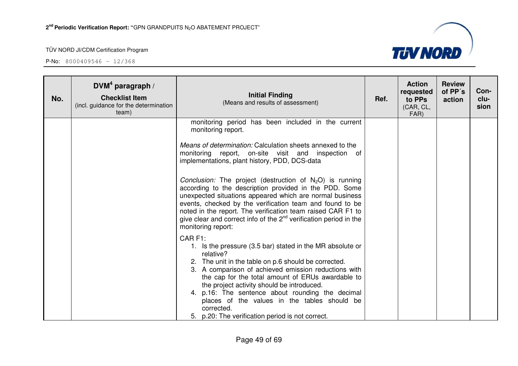

| No. | DVM <sup>4</sup> paragraph /<br><b>Checklist Item</b><br>(incl. guidance for the determination<br>team) | <b>Initial Finding</b><br>(Means and results of assessment)                                                                                                                                                                                                                                                                                                                                                                                                                                                                                                                                                                                                                 | Ref. | <b>Action</b><br>requested<br>to PPs<br>(CAR, CL,<br>FAR) | <b>Review</b><br>of PP's<br>action | Con-<br>clu-<br>sion |
|-----|---------------------------------------------------------------------------------------------------------|-----------------------------------------------------------------------------------------------------------------------------------------------------------------------------------------------------------------------------------------------------------------------------------------------------------------------------------------------------------------------------------------------------------------------------------------------------------------------------------------------------------------------------------------------------------------------------------------------------------------------------------------------------------------------------|------|-----------------------------------------------------------|------------------------------------|----------------------|
|     |                                                                                                         | monitoring period has been included in the current<br>monitoring report.<br>Means of determination: Calculation sheets annexed to the<br>monitoring report, on-site visit and inspection of<br>implementations, plant history, PDD, DCS-data<br><i>Conclusion:</i> The project (destruction of $N_2O$ ) is running<br>according to the description provided in the PDD. Some<br>unexpected situations appeared which are normal business<br>events, checked by the verification team and found to be<br>noted in the report. The verification team raised CAR F1 to<br>give clear and correct info of the $2nd$ verification period in the<br>monitoring report:<br>CAR F1: |      |                                                           |                                    |                      |
|     |                                                                                                         | 1. Is the pressure (3.5 bar) stated in the MR absolute or<br>relative?<br>2. The unit in the table on p.6 should be corrected.<br>3. A comparison of achieved emission reductions with<br>the cap for the total amount of ERUs awardable to<br>the project activity should be introduced.<br>4. p.16: The sentence about rounding the decimal<br>places of the values in the tables should be<br>corrected.<br>5. p.20: The verification period is not correct.                                                                                                                                                                                                             |      |                                                           |                                    |                      |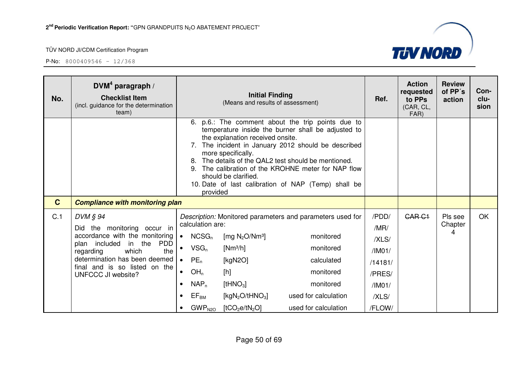

| No.         | $DVM4$ paragraph /<br><b>Checklist Item</b><br>(incl. guidance for the determination<br>team)                                                                                                                                        |                                                                                                                                                                                                                         | <b>Initial Finding</b><br>(Means and results of assessment)                                                                                                    |                                                                                                                                                                                                                                                                                                                             | Ref.                                                                               | <b>Action</b><br>requested<br>to PPs<br>(CAR, CL,<br>FAR) | <b>Review</b><br>of PP's<br>action | Con-<br>clu-<br>sion |
|-------------|--------------------------------------------------------------------------------------------------------------------------------------------------------------------------------------------------------------------------------------|-------------------------------------------------------------------------------------------------------------------------------------------------------------------------------------------------------------------------|----------------------------------------------------------------------------------------------------------------------------------------------------------------|-----------------------------------------------------------------------------------------------------------------------------------------------------------------------------------------------------------------------------------------------------------------------------------------------------------------------------|------------------------------------------------------------------------------------|-----------------------------------------------------------|------------------------------------|----------------------|
|             |                                                                                                                                                                                                                                      | 6.<br>8.<br>provided                                                                                                                                                                                                    | the explanation received onsite.<br>more specifically.<br>should be clarified.                                                                                 | p.6.: The comment about the trip points due to<br>temperature inside the burner shall be adjusted to<br>7. The incident in January 2012 should be described<br>The details of the QAL2 test should be mentioned.<br>The calibration of the KROHNE meter for NAP flow<br>10. Date of last calibration of NAP (Temp) shall be |                                                                                    |                                                           |                                    |                      |
| $\mathbf C$ | <b>Compliance with monitoring plan</b>                                                                                                                                                                                               |                                                                                                                                                                                                                         |                                                                                                                                                                |                                                                                                                                                                                                                                                                                                                             |                                                                                    |                                                           |                                    |                      |
| C.1         | DVM § 94<br>Did the monitoring occur in<br>accordance with the monitoring<br><b>PDD</b><br>plan included in the<br>which<br>the<br>regarding<br>determination has been deemed<br>final and is so listed on the<br>UNFCCC JI website? | calculation are:<br>NCSG <sub>n</sub><br>$\bullet$<br>$VSG_n$<br>$PE_n$<br>OH <sub>n</sub><br>$\bullet$<br>$NAP_n$<br>$\bullet$<br>$\mathsf{EF}_\mathsf{BM}$<br>$\bullet$<br>$\mathsf{GWP}_{\mathsf{N2O}}$<br>$\bullet$ | [mg $N_2O/Nm^3$ ]<br>$[Nm^3/h]$<br>[kgN2O]<br>[h]<br>[tHNO <sub>3</sub> ]<br>[kgN <sub>2</sub> O/tHNO <sub>3</sub> ]<br>[tCO <sub>2</sub> e/tN <sub>2</sub> O] | Description: Monitored parameters and parameters used for<br>monitored<br>monitored<br>calculated<br>monitored<br>monitored<br>used for calculation<br>used for calculation                                                                                                                                                 | /PDD/<br>/MR/<br>/XLS/<br>/IM01/<br>/14181/<br>/PRES/<br>/IM01/<br>/XLS/<br>/FLOW/ | CAR <sub>C1</sub>                                         | Pls see<br>Chapter<br>4            | <b>OK</b>            |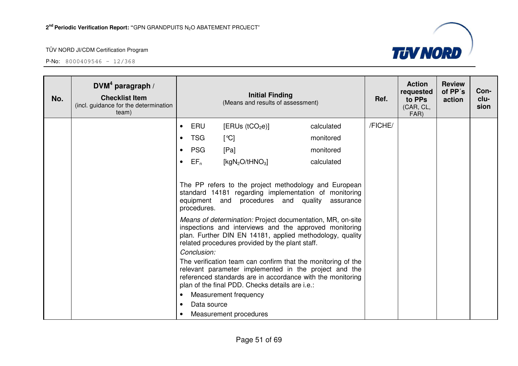

| No. | DVM <sup>4</sup> paragraph /<br><b>Checklist Item</b><br>(incl. guidance for the determination<br>team) |           |                                           | <b>Initial Finding</b><br>(Means and results of assessment)                                                                                                                                                                                                                                                                                                                                                                                                                                                                                                                                                                                                                                |            | Ref.    | <b>Action</b><br>requested<br>to PPs<br>(CAR, CL,<br>FAR) | <b>Review</b><br>of PP's<br>action | Con-<br>clu-<br>sion |
|-----|---------------------------------------------------------------------------------------------------------|-----------|-------------------------------------------|--------------------------------------------------------------------------------------------------------------------------------------------------------------------------------------------------------------------------------------------------------------------------------------------------------------------------------------------------------------------------------------------------------------------------------------------------------------------------------------------------------------------------------------------------------------------------------------------------------------------------------------------------------------------------------------------|------------|---------|-----------------------------------------------------------|------------------------------------|----------------------|
|     |                                                                                                         | $\bullet$ | ERU                                       | [ERUs (tCO <sub>2</sub> e)]                                                                                                                                                                                                                                                                                                                                                                                                                                                                                                                                                                                                                                                                | calculated | /FICHE/ |                                                           |                                    |                      |
|     |                                                                                                         | $\bullet$ | <b>TSG</b>                                | [°C]                                                                                                                                                                                                                                                                                                                                                                                                                                                                                                                                                                                                                                                                                       | monitored  |         |                                                           |                                    |                      |
|     |                                                                                                         | $\bullet$ | <b>PSG</b>                                | [Pa]                                                                                                                                                                                                                                                                                                                                                                                                                                                                                                                                                                                                                                                                                       | monitored  |         |                                                           |                                    |                      |
|     |                                                                                                         | $\bullet$ | $EF_n$                                    | [ $kgN2O/tHNO3$ ]                                                                                                                                                                                                                                                                                                                                                                                                                                                                                                                                                                                                                                                                          | calculated |         |                                                           |                                    |                      |
|     |                                                                                                         | $\bullet$ | procedures.<br>Conclusion:<br>Data source | The PP refers to the project methodology and European<br>standard 14181 regarding implementation of monitoring<br>equipment and procedures and quality<br>Means of determination: Project documentation, MR, on-site<br>inspections and interviews and the approved monitoring<br>plan. Further DIN EN 14181, applied methodology, quality<br>related procedures provided by the plant staff.<br>The verification team can confirm that the monitoring of the<br>relevant parameter implemented in the project and the<br>referenced standards are in accordance with the monitoring<br>plan of the final PDD. Checks details are i.e.:<br>Measurement frequency<br>Measurement procedures | assurance  |         |                                                           |                                    |                      |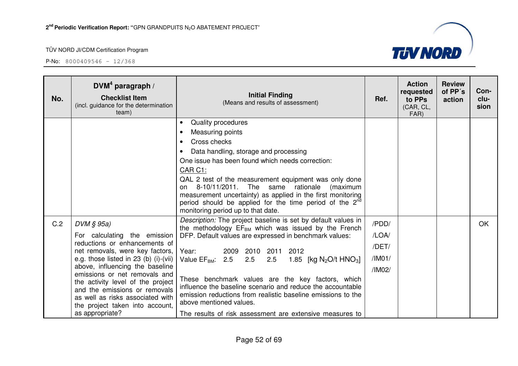

| No. | $DVM4$ paragraph /<br><b>Checklist Item</b><br>(incl. guidance for the determination<br>team)                                                                                                                                                                                                                                                                                                 | <b>Initial Finding</b><br>(Means and results of assessment)                                                                                                                                                                                                                                                                                                                                                                                                                                                                                                                            | Ref.                                        | <b>Action</b><br>requested<br>to PPs<br>(CAR, CL,<br>FAR) | <b>Review</b><br>of PP's<br>action | Con-<br>clu-<br>sion |
|-----|-----------------------------------------------------------------------------------------------------------------------------------------------------------------------------------------------------------------------------------------------------------------------------------------------------------------------------------------------------------------------------------------------|----------------------------------------------------------------------------------------------------------------------------------------------------------------------------------------------------------------------------------------------------------------------------------------------------------------------------------------------------------------------------------------------------------------------------------------------------------------------------------------------------------------------------------------------------------------------------------------|---------------------------------------------|-----------------------------------------------------------|------------------------------------|----------------------|
|     |                                                                                                                                                                                                                                                                                                                                                                                               | Quality procedures<br>$\bullet$<br>Measuring points<br>$\bullet$<br>Cross checks<br>$\bullet$<br>Data handling, storage and processing<br>$\bullet$<br>One issue has been found which needs correction:<br>CAR C1:<br>QAL 2 test of the measurement equipment was only done<br>8-10/11/2011.<br>The<br>same rationale<br>(maximum<br>on<br>measurement uncertainty) as applied in the first monitoring<br>period should be applied for the time period of the 2 <sup>nd</sup><br>monitoring period up to that date.                                                                    |                                             |                                                           |                                    |                      |
| C.2 | $DVM \S 95a$<br>For calculating the emission<br>reductions or enhancements of<br>net removals, were key factors,<br>e.g. those listed in 23 (b) (i)-(vii)<br>above, influencing the baseline<br>emissions or net removals and<br>the activity level of the project<br>and the emissions or removals<br>as well as risks associated with<br>the project taken into account,<br>as appropriate? | Description: The project baseline is set by default values in<br>the methodology EF <sub>BM</sub> which was issued by the French<br>DFP. Default values are expressed in benchmark values:<br>2009 2010<br>2011 2012<br>Year:<br>Value $EF_{BM}$ : 2.5<br>2.5<br>1.85 [kg $N_2O/t$ HNO <sub>3</sub> ]<br>2.5<br>These benchmark values are the key factors, which<br>influence the baseline scenario and reduce the accountable<br>emission reductions from realistic baseline emissions to the<br>above mentioned values.<br>The results of risk assessment are extensive measures to | /PDD/<br>/LOA/<br>/DET/<br>/IMO1/<br>/IM02/ |                                                           |                                    | OK                   |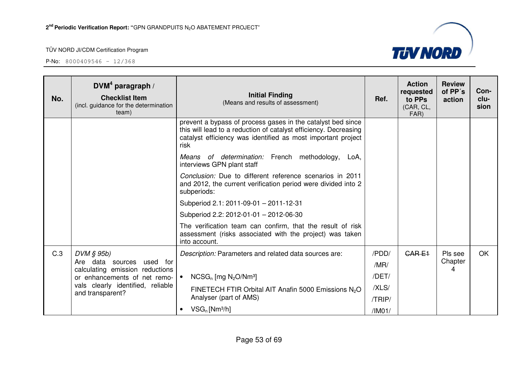

| No. | $DVM4$ paragraph /<br><b>Checklist Item</b><br>(incl. guidance for the determination<br>team) | <b>Initial Finding</b><br>(Means and results of assessment)                                                                                                                                             | Ref.   | <b>Action</b><br>requested<br>to PPs<br>(CAR, CL,<br>FAR) | <b>Review</b><br>of PP's<br>action | Con-<br>clu-<br>sion |
|-----|-----------------------------------------------------------------------------------------------|---------------------------------------------------------------------------------------------------------------------------------------------------------------------------------------------------------|--------|-----------------------------------------------------------|------------------------------------|----------------------|
|     |                                                                                               | prevent a bypass of process gases in the catalyst bed since<br>this will lead to a reduction of catalyst efficiency. Decreasing<br>catalyst efficiency was identified as most important project<br>risk |        |                                                           |                                    |                      |
|     |                                                                                               | Means of determination: French methodology,<br>LoA,<br>interviews GPN plant staff                                                                                                                       |        |                                                           |                                    |                      |
|     |                                                                                               | Conclusion: Due to different reference scenarios in 2011<br>and 2012, the current verification period were divided into 2<br>subperiods:                                                                |        |                                                           |                                    |                      |
|     |                                                                                               | Subperiod 2.1: 2011-09-01 - 2011-12-31                                                                                                                                                                  |        |                                                           |                                    |                      |
|     |                                                                                               | Subperiod 2.2: 2012-01-01 - 2012-06-30                                                                                                                                                                  |        |                                                           |                                    |                      |
|     |                                                                                               | The verification team can confirm, that the result of risk<br>assessment (risks associated with the project) was taken<br>into account.                                                                 |        |                                                           |                                    |                      |
| C.3 | $DVM \S 95b$                                                                                  | Description: Parameters and related data sources are:                                                                                                                                                   | /PDD/  | <b>CARE1</b>                                              | Pls see                            | <b>OK</b>            |
|     | Are data<br>used for<br>sources<br>calculating emission reductions                            |                                                                                                                                                                                                         | /MR/   |                                                           | Chapter<br>Δ                       |                      |
|     | or enhancements of net remo-                                                                  | $NCSG_n$ [mg $N_2O/Nm^3$ ]<br>$\bullet$                                                                                                                                                                 | /DET/  |                                                           |                                    |                      |
|     | vals clearly identified, reliable<br>and transparent?                                         | FINETECH FTIR Orbital AIT Anafin 5000 Emissions N <sub>2</sub> O                                                                                                                                        | /XLS/  |                                                           |                                    |                      |
|     |                                                                                               | Analyser (part of AMS)<br>$VSG_n$ [Nm <sup>3</sup> /h]<br>$\bullet$                                                                                                                                     | /TRIP/ |                                                           |                                    |                      |
|     |                                                                                               |                                                                                                                                                                                                         | /IMO1/ |                                                           |                                    |                      |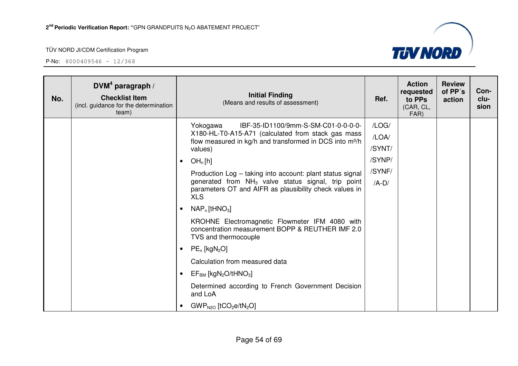

| No. | DVM <sup>4</sup> paragraph /<br><b>Checklist Item</b><br>(incl. guidance for the determination<br>team) |           | <b>Initial Finding</b><br>(Means and results of assessment)                                                                            | Ref.    | <b>Action</b><br>requested<br>to PPs<br>(CAR, CL,<br>FAR) | <b>Review</b><br>of PP's<br>action | Con-<br>clu-<br>sion |
|-----|---------------------------------------------------------------------------------------------------------|-----------|----------------------------------------------------------------------------------------------------------------------------------------|---------|-----------------------------------------------------------|------------------------------------|----------------------|
|     |                                                                                                         |           | Yokogawa<br>IBF-35-ID1100/9mm-S-SM-C01-0-0-0-0-                                                                                        | /LOG/   |                                                           |                                    |                      |
|     |                                                                                                         |           | X180-HL-T0-A15-A71 (calculated from stack gas mass<br>flow measured in kg/h and transformed in DCS into m <sup>3/h</sup>               | /LOA/   |                                                           |                                    |                      |
|     |                                                                                                         |           | values)                                                                                                                                | /SYNT/  |                                                           |                                    |                      |
|     |                                                                                                         | $\bullet$ | OH <sub>n</sub> [h]                                                                                                                    | /SYNP/  |                                                           |                                    |                      |
|     |                                                                                                         |           | Production Log - taking into account: plant status signal                                                                              | /SYNF/  |                                                           |                                    |                      |
|     |                                                                                                         |           | generated from NH <sub>3</sub> valve status signal, trip point<br>parameters OT and AIFR as plausibility check values in<br><b>XLS</b> | $/A-D/$ |                                                           |                                    |                      |
|     |                                                                                                         |           | $NAP_n$ [tHNO <sub>3</sub> ]                                                                                                           |         |                                                           |                                    |                      |
|     |                                                                                                         |           | KROHNE Electromagnetic Flowmeter IFM 4080 with<br>concentration measurement BOPP & REUTHER IMF 2.0<br>TVS and thermocouple             |         |                                                           |                                    |                      |
|     |                                                                                                         | $\bullet$ | $PE_n$ [kgN <sub>2</sub> O]                                                                                                            |         |                                                           |                                    |                      |
|     |                                                                                                         |           | Calculation from measured data                                                                                                         |         |                                                           |                                    |                      |
|     |                                                                                                         | $\bullet$ | $EF_{BM}$ [kgN <sub>2</sub> O/tHNO <sub>3</sub> ]                                                                                      |         |                                                           |                                    |                      |
|     |                                                                                                         |           | Determined according to French Government Decision<br>and LoA                                                                          |         |                                                           |                                    |                      |
|     |                                                                                                         | $\bullet$ | $GWP_{N2O}$ [tCO <sub>2</sub> e/tN <sub>2</sub> O]                                                                                     |         |                                                           |                                    |                      |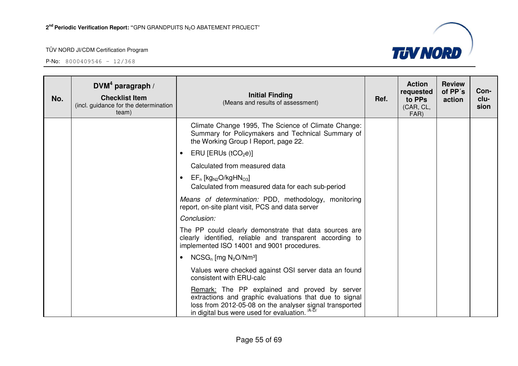

| No. | DVM <sup>4</sup> paragraph /<br><b>Checklist Item</b><br>(incl. guidance for the determination<br>team) | <b>Initial Finding</b><br>(Means and results of assessment)                                                                                                                                                                     | Ref. | <b>Action</b><br>requested<br>to PPs<br>(CAR, CL,<br>FAR) | <b>Review</b><br>of PP's<br>action | Con-<br>clu-<br>sion |
|-----|---------------------------------------------------------------------------------------------------------|---------------------------------------------------------------------------------------------------------------------------------------------------------------------------------------------------------------------------------|------|-----------------------------------------------------------|------------------------------------|----------------------|
|     |                                                                                                         | Climate Change 1995, The Science of Climate Change:<br>Summary for Policymakers and Technical Summary of<br>the Working Group I Report, page 22.                                                                                |      |                                                           |                                    |                      |
|     |                                                                                                         | ERU [ERUs ( $tCO2e$ )]<br>$\bullet$                                                                                                                                                                                             |      |                                                           |                                    |                      |
|     |                                                                                                         | Calculated from measured data                                                                                                                                                                                                   |      |                                                           |                                    |                      |
|     |                                                                                                         | $EF_n$ [kg <sub>N2</sub> O/kgHN <sub>O3</sub> ]<br>$\bullet$<br>Calculated from measured data for each sub-period                                                                                                               |      |                                                           |                                    |                      |
|     |                                                                                                         | Means of determination: PDD, methodology, monitoring<br>report, on-site plant visit, PCS and data server                                                                                                                        |      |                                                           |                                    |                      |
|     |                                                                                                         | Conclusion:                                                                                                                                                                                                                     |      |                                                           |                                    |                      |
|     |                                                                                                         | The PP could clearly demonstrate that data sources are<br>clearly identified, reliable and transparent according to<br>implemented ISO 14001 and 9001 procedures.                                                               |      |                                                           |                                    |                      |
|     |                                                                                                         | $NCSG_n$ [mg $N_2O/Nm^3$ ]<br>$\bullet$                                                                                                                                                                                         |      |                                                           |                                    |                      |
|     |                                                                                                         | Values were checked against OSI server data an found<br>consistent with ERU-calc                                                                                                                                                |      |                                                           |                                    |                      |
|     |                                                                                                         | Remark: The PP explained and proved by server<br>extractions and graphic evaluations that due to signal<br>loss from 2012-05-08 on the analyser signal transported<br>in digital bus were used for evaluation. <sup>/A-D/</sup> |      |                                                           |                                    |                      |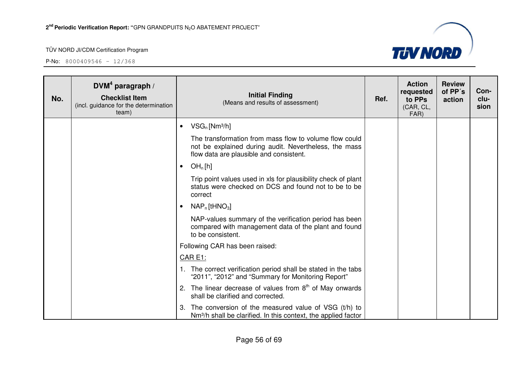

| No. | $DVM4$ paragraph /<br><b>Checklist Item</b><br>(incl. guidance for the determination<br>team) | <b>Initial Finding</b><br>(Means and results of assessment)                                                                                                | Ref. | <b>Action</b><br>requested<br>to PPs<br>(CAR, CL,<br>FAR) | <b>Review</b><br>of PP's<br>action | Con-<br>clu-<br>sion |
|-----|-----------------------------------------------------------------------------------------------|------------------------------------------------------------------------------------------------------------------------------------------------------------|------|-----------------------------------------------------------|------------------------------------|----------------------|
|     |                                                                                               | $VSG_n$ [Nm <sup>3</sup> /h]<br>$\bullet$                                                                                                                  |      |                                                           |                                    |                      |
|     |                                                                                               | The transformation from mass flow to volume flow could<br>not be explained during audit. Nevertheless, the mass<br>flow data are plausible and consistent. |      |                                                           |                                    |                      |
|     |                                                                                               | OH <sub>n</sub> [h]<br>$\bullet$                                                                                                                           |      |                                                           |                                    |                      |
|     |                                                                                               | Trip point values used in xls for plausibility check of plant<br>status were checked on DCS and found not to be to be<br>correct                           |      |                                                           |                                    |                      |
|     |                                                                                               | $NAP_n$ [tHNO <sub>3</sub> ]<br>$\bullet$                                                                                                                  |      |                                                           |                                    |                      |
|     |                                                                                               | NAP-values summary of the verification period has been<br>compared with management data of the plant and found<br>to be consistent.                        |      |                                                           |                                    |                      |
|     |                                                                                               | Following CAR has been raised:                                                                                                                             |      |                                                           |                                    |                      |
|     |                                                                                               | <b>CAR E1:</b>                                                                                                                                             |      |                                                           |                                    |                      |
|     |                                                                                               | 1. The correct verification period shall be stated in the tabs<br>"2011", "2012" and "Summary for Monitoring Report"                                       |      |                                                           |                                    |                      |
|     |                                                                                               | The linear decrease of values from $8th$ of May onwards<br>2.<br>shall be clarified and corrected.                                                         |      |                                                           |                                    |                      |
|     |                                                                                               | The conversion of the measured value of VSG $(t/h)$ to<br>3.<br>Nm <sup>3</sup> /h shall be clarified. In this context, the applied factor                 |      |                                                           |                                    |                      |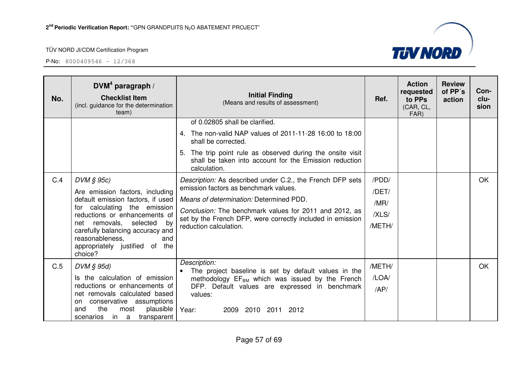

| No. | $DVM4$ paragraph /<br><b>Checklist Item</b><br>(incl. guidance for the determination<br>team)                                                                                                                                                                                                       | <b>Initial Finding</b><br>(Means and results of assessment)                                                                                                                                                                                                                                     | Ref.                                      | <b>Action</b><br>requested<br>to PPs<br>(CAR, CL,<br>FAR) | <b>Review</b><br>of PP's<br>action | Con-<br>clu-<br>sion |
|-----|-----------------------------------------------------------------------------------------------------------------------------------------------------------------------------------------------------------------------------------------------------------------------------------------------------|-------------------------------------------------------------------------------------------------------------------------------------------------------------------------------------------------------------------------------------------------------------------------------------------------|-------------------------------------------|-----------------------------------------------------------|------------------------------------|----------------------|
|     |                                                                                                                                                                                                                                                                                                     | of 0.02805 shall be clarified.<br>4. The non-valid NAP values of 2011-11-28 16:00 to 18:00<br>shall be corrected.<br>5. The trip point rule as observed during the onsite visit<br>shall be taken into account for the Emission reduction<br>calculation.                                       |                                           |                                                           |                                    |                      |
| C.4 | $DVM \S 95c$<br>Are emission factors, including<br>default emission factors, if used<br>for calculating the emission<br>reductions or enhancements of<br>net removals, selected<br>by<br>carefully balancing accuracy and<br>reasonableness,<br>and<br>appropriately justified of<br>the<br>choice? | Description: As described under C.2., the French DFP sets<br>emission factors as benchmark values.<br>Means of determination: Determined PDD.<br>Conclusion: The benchmark values for 2011 and 2012, as<br>set by the French DFP, were correctly included in emission<br>reduction calculation. | /PDD/<br>/DET/<br>/MR/<br>/XLS/<br>/METH/ |                                                           |                                    | OK.                  |
| C.5 | $DVM \S 95d$<br>Is the calculation of emission<br>reductions or enhancements of<br>net removals calculated based<br>conservative assumptions<br>on<br>the<br>plausible<br>and<br>most<br>scenarios<br>in a<br>transparent                                                                           | Description:<br>The project baseline is set by default values in the<br>methodology EF <sub>BM</sub> which was issued by the French<br>DFP. Default values are expressed in benchmark<br>values:<br>Year:<br>2010 2011 2012<br>2009                                                             | /METH/<br>/LOA/<br>AP/                    |                                                           |                                    | OK                   |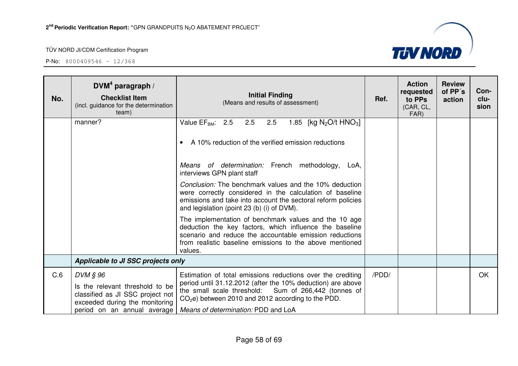

| No. | DVM <sup>4</sup> paragraph /<br><b>Checklist Item</b><br>(incl. guidance for the determination<br>team)           | <b>Initial Finding</b><br>(Means and results of assessment)                                                                                                                                                                                                                                                     | Ref.  | <b>Action</b><br>requested<br>to PPs<br>(CAR, CL,<br>FAR) | <b>Review</b><br>of PP's<br>action | Con-<br>clu-<br>sion |
|-----|-------------------------------------------------------------------------------------------------------------------|-----------------------------------------------------------------------------------------------------------------------------------------------------------------------------------------------------------------------------------------------------------------------------------------------------------------|-------|-----------------------------------------------------------|------------------------------------|----------------------|
|     | manner?                                                                                                           | Value EF <sub>BM</sub> : 2.5 2.5 2.5<br>1.85 [kg N <sub>2</sub> O/t HNO <sub>3</sub> ]<br>A 10% reduction of the verified emission reductions<br>$\bullet$<br>Means of determination: French methodology,<br>LoA,<br>interviews GPN plant staff                                                                 |       |                                                           |                                    |                      |
|     |                                                                                                                   | Conclusion: The benchmark values and the 10% deduction<br>were correctly considered in the calculation of baseline<br>emissions and take into account the sectoral reform policies<br>and legislation (point 23 (b) (i) of DVM).                                                                                |       |                                                           |                                    |                      |
|     |                                                                                                                   | The implementation of benchmark values and the 10 age<br>deduction the key factors, which influence the baseline<br>scenario and reduce the accountable emission reductions<br>from realistic baseline emissions to the above mentioned<br>values.                                                              |       |                                                           |                                    |                      |
|     | Applicable to JI SSC projects only                                                                                |                                                                                                                                                                                                                                                                                                                 |       |                                                           |                                    |                      |
| C.6 | DVM § 96<br>Is the relevant threshold to be<br>classified as JI SSC project not<br>exceeded during the monitoring | Estimation of total emissions reductions over the crediting<br>period until 31.12.2012 (after the 10% deduction) are above<br>the small scale threshold: Sum of 266,442 (tonnes of<br>$CO2e$ ) between 2010 and 2012 according to the PDD.<br>period on an annual average   Means of determination: PDD and LoA | /PDD/ |                                                           |                                    | <b>OK</b>            |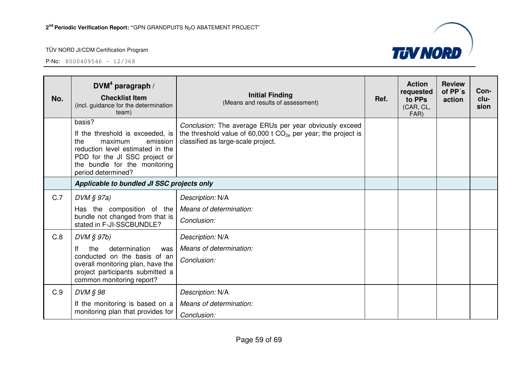

| No. | DVM <sup>4</sup> paragraph /<br><b>Checklist Item</b><br>(incl. guidance for the determination<br>team)                                                                                              | <b>Initial Finding</b><br>(Means and results of assessment)                                                                                                        | Ref. | <b>Action</b><br>requested<br>to PPs<br>(CAR, CL,<br>FAR) | <b>Review</b><br>of PP's<br>action | Con-<br>clu-<br>sion |
|-----|------------------------------------------------------------------------------------------------------------------------------------------------------------------------------------------------------|--------------------------------------------------------------------------------------------------------------------------------------------------------------------|------|-----------------------------------------------------------|------------------------------------|----------------------|
|     | basis?<br>If the threshold is exceeded, is<br>the<br>maximum<br>emission<br>reduction level estimated in the<br>PDD for the JI SSC project or<br>the bundle for the monitoring<br>period determined? | Conclusion: The average ERUs per year obviously exceed<br>the threshold value of 60,000 t $CO_{2e}$ per year; the project is<br>classified as large-scale project. |      |                                                           |                                    |                      |
|     | Applicable to bundled JI SSC projects only                                                                                                                                                           |                                                                                                                                                                    |      |                                                           |                                    |                      |
| C.7 | $DVM \S 97a)$<br>Has the composition of the                                                                                                                                                          | Description: N/A<br>Means of determination:                                                                                                                        |      |                                                           |                                    |                      |
|     | bundle not changed from that is<br>stated in F-JI-SSCBUNDLE?                                                                                                                                         | Conclusion:                                                                                                                                                        |      |                                                           |                                    |                      |
| C.8 | DVM § 97b)                                                                                                                                                                                           | Description: N/A                                                                                                                                                   |      |                                                           |                                    |                      |
|     | lf<br>determination<br>the<br>was<br>conducted on the basis of an<br>overall monitoring plan, have the<br>project participants submitted a<br>common monitoring report?                              | Means of determination:<br>Conclusion:                                                                                                                             |      |                                                           |                                    |                      |
| C.9 | DVM § 98                                                                                                                                                                                             | Description: N/A                                                                                                                                                   |      |                                                           |                                    |                      |
|     | If the monitoring is based on a<br>monitoring plan that provides for                                                                                                                                 | Means of determination:                                                                                                                                            |      |                                                           |                                    |                      |
|     |                                                                                                                                                                                                      | Conclusion:                                                                                                                                                        |      |                                                           |                                    |                      |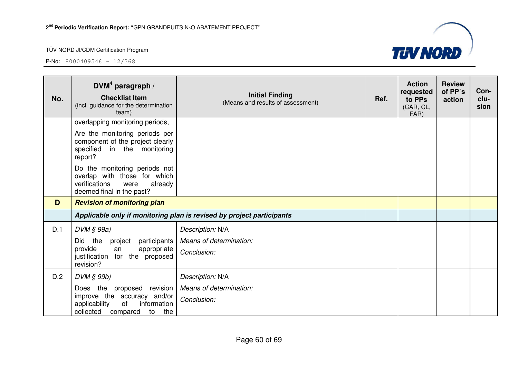

| No. | DVM <sup>4</sup> paragraph /<br><b>Checklist Item</b><br>(incl. guidance for the determination<br>team)                        | <b>Initial Finding</b><br>(Means and results of assessment)           | Ref. | <b>Action</b><br>requested<br>to PPs<br>(CAR, CL,<br>FAR) | <b>Review</b><br>of PP's<br>action | Con-<br>clu-<br>sion |
|-----|--------------------------------------------------------------------------------------------------------------------------------|-----------------------------------------------------------------------|------|-----------------------------------------------------------|------------------------------------|----------------------|
|     | overlapping monitoring periods,                                                                                                |                                                                       |      |                                                           |                                    |                      |
|     | Are the monitoring periods per<br>component of the project clearly<br>specified in the monitoring<br>report?                   |                                                                       |      |                                                           |                                    |                      |
|     | Do the monitoring periods not<br>overlap with those for which<br>verifications<br>already<br>were<br>deemed final in the past? |                                                                       |      |                                                           |                                    |                      |
| D   | <b>Revision of monitoring plan</b>                                                                                             |                                                                       |      |                                                           |                                    |                      |
|     |                                                                                                                                | Applicable only if monitoring plan is revised by project participants |      |                                                           |                                    |                      |
| D.1 | DVM § 99a)                                                                                                                     | Description: N/A                                                      |      |                                                           |                                    |                      |
|     | participants<br>the<br>Did<br>project                                                                                          | Means of determination:                                               |      |                                                           |                                    |                      |
|     | provide<br>appropriate<br>an<br>justification<br>for the<br>proposed<br>revision?                                              | Conclusion:                                                           |      |                                                           |                                    |                      |
| D.2 | DVM § 99b)                                                                                                                     | Description: N/A                                                      |      |                                                           |                                    |                      |
|     | Does the<br>revision<br>proposed                                                                                               | Means of determination:                                               |      |                                                           |                                    |                      |
|     | improve the accuracy and/or<br>information<br>applicability<br>of<br>collected<br>to<br>the<br>compared                        | Conclusion:                                                           |      |                                                           |                                    |                      |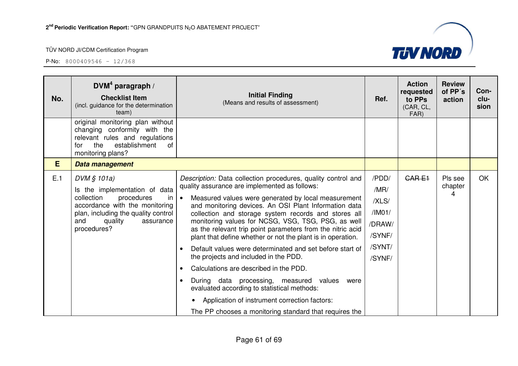

| No. | $DWM4$ paragraph /<br><b>Checklist Item</b><br>(incl. guidance for the determination<br>team)                                                                                                            | <b>Initial Finding</b><br>(Means and results of assessment)                                                                                                                                                                                                                                                                                                                                                                                                                                                                                                                                                                                                                                                                                                                                                                                                                              | Ref.                                                                     | <b>Action</b><br>requested<br>to PPs<br>(CAR, CL,<br>FAR) | <b>Review</b><br>of PP's<br>action | Con-<br>clu-<br>sion |
|-----|----------------------------------------------------------------------------------------------------------------------------------------------------------------------------------------------------------|------------------------------------------------------------------------------------------------------------------------------------------------------------------------------------------------------------------------------------------------------------------------------------------------------------------------------------------------------------------------------------------------------------------------------------------------------------------------------------------------------------------------------------------------------------------------------------------------------------------------------------------------------------------------------------------------------------------------------------------------------------------------------------------------------------------------------------------------------------------------------------------|--------------------------------------------------------------------------|-----------------------------------------------------------|------------------------------------|----------------------|
|     | original monitoring plan without<br>changing conformity with the<br>relevant rules and regulations<br>establishment<br>the<br>0f<br>for<br>monitoring plans?                                             |                                                                                                                                                                                                                                                                                                                                                                                                                                                                                                                                                                                                                                                                                                                                                                                                                                                                                          |                                                                          |                                                           |                                    |                      |
| E   | Data management                                                                                                                                                                                          |                                                                                                                                                                                                                                                                                                                                                                                                                                                                                                                                                                                                                                                                                                                                                                                                                                                                                          |                                                                          |                                                           |                                    |                      |
| E.1 | $DVM \S 101a$<br>Is the implementation of data<br>collection<br>procedures<br>-in<br>accordance with the monitoring<br>plan, including the quality control<br>and<br>quality<br>assurance<br>procedures? | Description: Data collection procedures, quality control and<br>quality assurance are implemented as follows:<br>Measured values were generated by local measurement<br>$\bullet$<br>and monitoring devices. An OSI Plant Information data<br>collection and storage system records and stores all<br>monitoring values for NCSG, VSG, TSG, PSG, as well<br>as the relevant trip point parameters from the nitric acid<br>plant that define whether or not the plant is in operation.<br>Default values were determinated and set before start of<br>$\bullet$<br>the projects and included in the PDD.<br>Calculations are described in the PDD.<br>$\bullet$<br>During data processing, measured values<br>were<br>evaluated according to statistical methods:<br>Application of instrument correction factors:<br>$\bullet$<br>The PP chooses a monitoring standard that requires the | /PDD/<br>/MR/<br>/XLS/<br>/IM01/<br>/DRAW/<br>/SYNF/<br>/SYNT/<br>/SYNF/ | <b>CARE1</b>                                              | Pls see<br>chapter<br>4            | OK                   |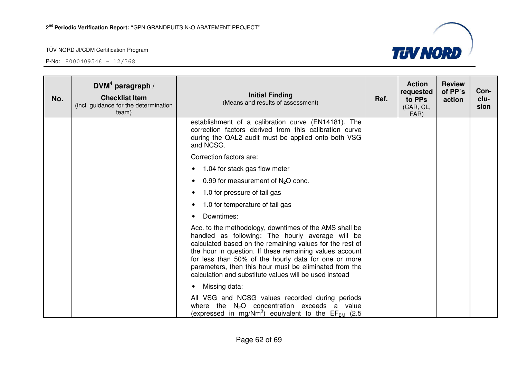

| No. | DVM <sup>4</sup> paragraph /<br><b>Checklist Item</b><br>(incl. guidance for the determination<br>team) | <b>Initial Finding</b><br>(Means and results of assessment)                                                                                                                                                                                                                                                                                                                                                   | Ref. | <b>Action</b><br>requested<br>to PPs<br>(CAR, CL,<br>FAR) | <b>Review</b><br>of PP's<br>action | Con-<br>clu-<br>sion |
|-----|---------------------------------------------------------------------------------------------------------|---------------------------------------------------------------------------------------------------------------------------------------------------------------------------------------------------------------------------------------------------------------------------------------------------------------------------------------------------------------------------------------------------------------|------|-----------------------------------------------------------|------------------------------------|----------------------|
|     |                                                                                                         | establishment of a calibration curve (EN14181). The<br>correction factors derived from this calibration curve<br>during the QAL2 audit must be applied onto both VSG<br>and NCSG.                                                                                                                                                                                                                             |      |                                                           |                                    |                      |
|     |                                                                                                         | Correction factors are:                                                                                                                                                                                                                                                                                                                                                                                       |      |                                                           |                                    |                      |
|     |                                                                                                         | 1.04 for stack gas flow meter<br>$\bullet$                                                                                                                                                                                                                                                                                                                                                                    |      |                                                           |                                    |                      |
|     |                                                                                                         | 0.99 for measurement of $N_2O$ conc.<br>$\bullet$                                                                                                                                                                                                                                                                                                                                                             |      |                                                           |                                    |                      |
|     |                                                                                                         | 1.0 for pressure of tail gas<br>$\bullet$                                                                                                                                                                                                                                                                                                                                                                     |      |                                                           |                                    |                      |
|     |                                                                                                         | 1.0 for temperature of tail gas<br>$\bullet$                                                                                                                                                                                                                                                                                                                                                                  |      |                                                           |                                    |                      |
|     |                                                                                                         | Downtimes:                                                                                                                                                                                                                                                                                                                                                                                                    |      |                                                           |                                    |                      |
|     |                                                                                                         | Acc. to the methodology, downtimes of the AMS shall be<br>handled as following: The hourly average will be<br>calculated based on the remaining values for the rest of<br>the hour in question. If these remaining values account<br>for less than 50% of the hourly data for one or more<br>parameters, then this hour must be eliminated from the<br>calculation and substitute values will be used instead |      |                                                           |                                    |                      |
|     |                                                                                                         | Missing data:                                                                                                                                                                                                                                                                                                                                                                                                 |      |                                                           |                                    |                      |
|     |                                                                                                         | All VSG and NCSG values recorded during periods<br>where the $N2O$ concentration exceeds a value<br>(expressed in mg/Nm <sup>3</sup> ) equivalent to the $EF_{BM}$ (2.5)                                                                                                                                                                                                                                      |      |                                                           |                                    |                      |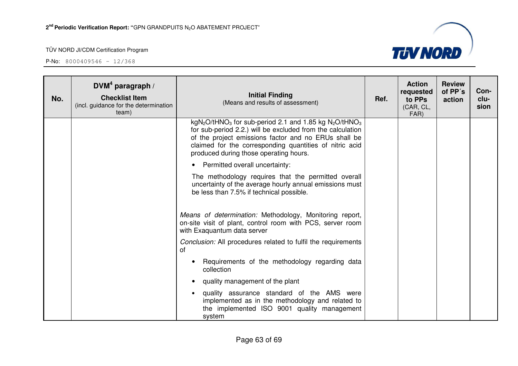

| No. | DVM <sup>4</sup> paragraph /<br><b>Checklist Item</b><br>(incl. guidance for the determination<br>team) | <b>Initial Finding</b><br>(Means and results of assessment)                                                                                                                                                                                                                                                              | Ref. | <b>Action</b><br>requested<br>to PPs<br>(CAR, CL,<br>FAR) | <b>Review</b><br>of PP's<br>action | Con-<br>clu-<br>sion |
|-----|---------------------------------------------------------------------------------------------------------|--------------------------------------------------------------------------------------------------------------------------------------------------------------------------------------------------------------------------------------------------------------------------------------------------------------------------|------|-----------------------------------------------------------|------------------------------------|----------------------|
|     |                                                                                                         | $kgN_2O$ /tHNO <sub>3</sub> for sub-period 2.1 and 1.85 kg N <sub>2</sub> O/tHNO <sub>3</sub><br>for sub-period 2.2.) will be excluded from the calculation<br>of the project emissions factor and no ERUs shall be<br>claimed for the corresponding quantities of nitric acid<br>produced during those operating hours. |      |                                                           |                                    |                      |
|     |                                                                                                         | Permitted overall uncertainty:                                                                                                                                                                                                                                                                                           |      |                                                           |                                    |                      |
|     |                                                                                                         | The methodology requires that the permitted overall<br>uncertainty of the average hourly annual emissions must<br>be less than 7.5% if technical possible.                                                                                                                                                               |      |                                                           |                                    |                      |
|     |                                                                                                         | Means of determination: Methodology, Monitoring report,<br>on-site visit of plant, control room with PCS, server room<br>with Exaguantum data server                                                                                                                                                                     |      |                                                           |                                    |                      |
|     |                                                                                                         | Conclusion: All procedures related to fulfil the requirements<br>οf                                                                                                                                                                                                                                                      |      |                                                           |                                    |                      |
|     |                                                                                                         | Requirements of the methodology regarding data<br>collection                                                                                                                                                                                                                                                             |      |                                                           |                                    |                      |
|     |                                                                                                         | quality management of the plant                                                                                                                                                                                                                                                                                          |      |                                                           |                                    |                      |
|     |                                                                                                         | quality assurance standard of the AMS were<br>implemented as in the methodology and related to<br>the implemented ISO 9001 quality management<br>system                                                                                                                                                                  |      |                                                           |                                    |                      |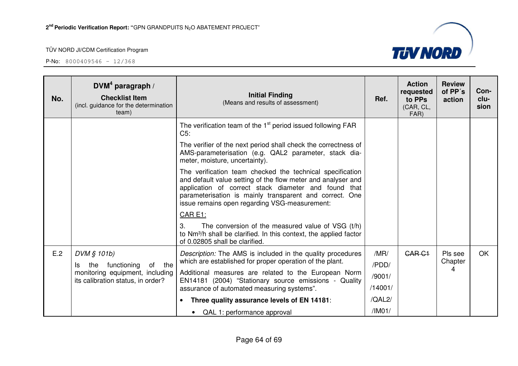

| No. | $DWM4$ paragraph /<br><b>Checklist Item</b><br>(incl. guidance for the determination<br>team) | <b>Initial Finding</b><br>(Means and results of assessment)                                                                                                                                                                                                                                   | Ref.          | <b>Action</b><br>requested<br>to PPs<br>(CAR, CL,<br>FAR) | <b>Review</b><br>of PP's<br>action | Con-<br>clu-<br>sion |
|-----|-----------------------------------------------------------------------------------------------|-----------------------------------------------------------------------------------------------------------------------------------------------------------------------------------------------------------------------------------------------------------------------------------------------|---------------|-----------------------------------------------------------|------------------------------------|----------------------|
|     |                                                                                               | The verification team of the $1st$ period issued following FAR<br>$C5$ :                                                                                                                                                                                                                      |               |                                                           |                                    |                      |
|     |                                                                                               | The verifier of the next period shall check the correctness of<br>AMS-parameterisation (e.g. QAL2 parameter, stack dia-<br>meter, moisture, uncertainty).                                                                                                                                     |               |                                                           |                                    |                      |
|     |                                                                                               | The verification team checked the technical specification<br>and default value setting of the flow meter and analyser and<br>application of correct stack diameter and found that<br>parameterisation is mainly transparent and correct. One<br>issue remains open regarding VSG-measurement: |               |                                                           |                                    |                      |
|     |                                                                                               | CAR E1:                                                                                                                                                                                                                                                                                       |               |                                                           |                                    |                      |
|     |                                                                                               | 3.<br>The conversion of the measured value of VSG (t/h)<br>to Nm <sup>3</sup> /h shall be clarified. In this context, the applied factor<br>of 0.02805 shall be clarified.                                                                                                                    |               |                                                           |                                    |                      |
| E.2 | DVM § 101b)<br>functioning<br>of the<br>the<br>ls                                             | Description: The AMS is included in the quality procedures<br>which are established for proper operation of the plant.                                                                                                                                                                        | /MR/<br>/PDD/ | <b>CAR C1</b>                                             | Pls see<br>Chapter                 | <b>OK</b>            |
|     | monitoring equipment, including<br>its calibration status, in order?                          | Additional measures are related to the European Norm                                                                                                                                                                                                                                          | /9001/        |                                                           | 4                                  |                      |
|     |                                                                                               | EN14181 (2004) "Stationary source emissions - Quality<br>assurance of automated measuring systems".                                                                                                                                                                                           | /14001/       |                                                           |                                    |                      |
|     |                                                                                               | Three quality assurance levels of EN 14181:<br>$\bullet$                                                                                                                                                                                                                                      | /QAL2/        |                                                           |                                    |                      |
|     |                                                                                               | • QAL 1: performance approval                                                                                                                                                                                                                                                                 | /IMO1/        |                                                           |                                    |                      |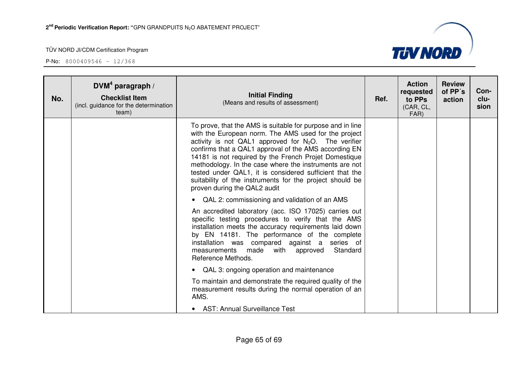

| No. | DVM <sup>4</sup> paragraph /<br><b>Checklist Item</b><br>(incl. guidance for the determination<br>team) | <b>Initial Finding</b><br>(Means and results of assessment)                                                                                                                                                                                                                                                                                                                                                                                                                                                      | Ref. | <b>Action</b><br>requested<br>to PPs<br>(CAR, CL,<br>FAR) | <b>Review</b><br>of PP's<br>action | Con-<br>clu-<br>sion |
|-----|---------------------------------------------------------------------------------------------------------|------------------------------------------------------------------------------------------------------------------------------------------------------------------------------------------------------------------------------------------------------------------------------------------------------------------------------------------------------------------------------------------------------------------------------------------------------------------------------------------------------------------|------|-----------------------------------------------------------|------------------------------------|----------------------|
|     |                                                                                                         | To prove, that the AMS is suitable for purpose and in line<br>with the European norm. The AMS used for the project<br>activity is not QAL1 approved for $N_2O$ . The verifier<br>confirms that a QAL1 approval of the AMS according EN<br>14181 is not required by the French Projet Domestique<br>methodology. In the case where the instruments are not<br>tested under QAL1, it is considered sufficient that the<br>suitability of the instruments for the project should be<br>proven during the QAL2 audit |      |                                                           |                                    |                      |
|     |                                                                                                         | • QAL 2: commissioning and validation of an AMS<br>An accredited laboratory (acc. ISO 17025) carries out<br>specific testing procedures to verify that the AMS<br>installation meets the accuracy requirements laid down<br>by EN 14181. The performance of the complete<br>installation was compared against a series of<br>measurements made with approved<br>Standard<br>Reference Methods.                                                                                                                   |      |                                                           |                                    |                      |
|     |                                                                                                         | • QAL 3: ongoing operation and maintenance<br>To maintain and demonstrate the required quality of the<br>measurement results during the normal operation of an<br>AMS.<br>• AST: Annual Surveillance Test                                                                                                                                                                                                                                                                                                        |      |                                                           |                                    |                      |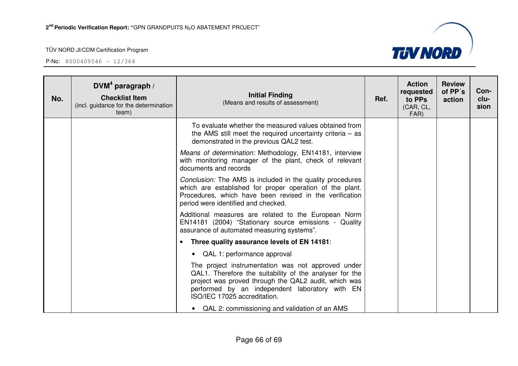

| No. | DVM <sup>4</sup> paragraph /<br><b>Checklist Item</b><br>(incl. guidance for the determination<br>team) | <b>Initial Finding</b><br>(Means and results of assessment)                                                                                                                                                                                             | Ref. | <b>Action</b><br>requested<br>to PPs<br>(CAR, CL,<br>FAR) | <b>Review</b><br>of PP's<br>action | Con-<br>clu-<br>sion |
|-----|---------------------------------------------------------------------------------------------------------|---------------------------------------------------------------------------------------------------------------------------------------------------------------------------------------------------------------------------------------------------------|------|-----------------------------------------------------------|------------------------------------|----------------------|
|     |                                                                                                         | To evaluate whether the measured values obtained from<br>the AMS still meet the required uncertainty criteria $-$ as<br>demonstrated in the previous QAL2 test.                                                                                         |      |                                                           |                                    |                      |
|     |                                                                                                         | Means of determination: Methodology, EN14181, interview<br>with monitoring manager of the plant, check of relevant<br>documents and records                                                                                                             |      |                                                           |                                    |                      |
|     |                                                                                                         | <i>Conclusion:</i> The AMS is included in the quality procedures<br>which are established for proper operation of the plant.<br>Procedures, which have been revised in the verification<br>period were identified and checked.                          |      |                                                           |                                    |                      |
|     |                                                                                                         | Additional measures are related to the European Norm<br>EN14181 (2004) "Stationary source emissions - Quality<br>assurance of automated measuring systems".                                                                                             |      |                                                           |                                    |                      |
|     |                                                                                                         | Three quality assurance levels of EN 14181:<br>$\bullet$                                                                                                                                                                                                |      |                                                           |                                    |                      |
|     |                                                                                                         | • QAL 1: performance approval                                                                                                                                                                                                                           |      |                                                           |                                    |                      |
|     |                                                                                                         | The project instrumentation was not approved under<br>QAL1. Therefore the suitability of the analyser for the<br>project was proved through the QAL2 audit, which was<br>performed by an independent laboratory with EN<br>ISO/IEC 17025 accreditation. |      |                                                           |                                    |                      |
|     |                                                                                                         | • QAL 2: commissioning and validation of an AMS                                                                                                                                                                                                         |      |                                                           |                                    |                      |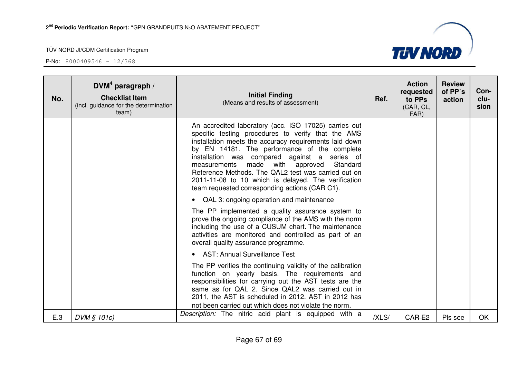

| No. | DVM <sup>4</sup> paragraph /<br><b>Checklist Item</b><br>(incl. guidance for the determination<br>team) | <b>Initial Finding</b><br>(Means and results of assessment)                                                                                                                                                                                                                                                                                                                                                                                                                              | Ref.  | <b>Action</b><br>requested<br>to PPs<br>(CAR, CL,<br>FAR) | <b>Review</b><br>of PP's<br>action | Con-<br>clu-<br>sion |
|-----|---------------------------------------------------------------------------------------------------------|------------------------------------------------------------------------------------------------------------------------------------------------------------------------------------------------------------------------------------------------------------------------------------------------------------------------------------------------------------------------------------------------------------------------------------------------------------------------------------------|-------|-----------------------------------------------------------|------------------------------------|----------------------|
|     |                                                                                                         | An accredited laboratory (acc. ISO 17025) carries out<br>specific testing procedures to verify that the AMS<br>installation meets the accuracy requirements laid down<br>by EN 14181. The performance of the complete<br>installation was compared against a series of<br>made with approved<br>Standard<br>measurements<br>Reference Methods. The QAL2 test was carried out on<br>2011-11-08 to 10 which is delayed. The verification<br>team requested corresponding actions (CAR C1). |       |                                                           |                                    |                      |
|     |                                                                                                         | • QAL 3: ongoing operation and maintenance                                                                                                                                                                                                                                                                                                                                                                                                                                               |       |                                                           |                                    |                      |
|     |                                                                                                         | The PP implemented a quality assurance system to<br>prove the ongoing compliance of the AMS with the norm<br>including the use of a CUSUM chart. The maintenance<br>activities are monitored and controlled as part of an<br>overall quality assurance programme.                                                                                                                                                                                                                        |       |                                                           |                                    |                      |
|     |                                                                                                         | • AST: Annual Surveillance Test                                                                                                                                                                                                                                                                                                                                                                                                                                                          |       |                                                           |                                    |                      |
|     |                                                                                                         | The PP verifies the continuing validity of the calibration<br>function on yearly basis. The requirements and<br>responsibilities for carrying out the AST tests are the<br>same as for QAL 2. Since QAL2 was carried out in<br>2011, the AST is scheduled in 2012. AST in 2012 has<br>not been carried out which does not violate the norm.                                                                                                                                              |       |                                                           |                                    |                      |
| E.3 | DVM § 101c)                                                                                             | Description: The nitric acid plant is equipped with a                                                                                                                                                                                                                                                                                                                                                                                                                                    | /XLS/ | <b>CARE2</b>                                              | Pls see                            | OK                   |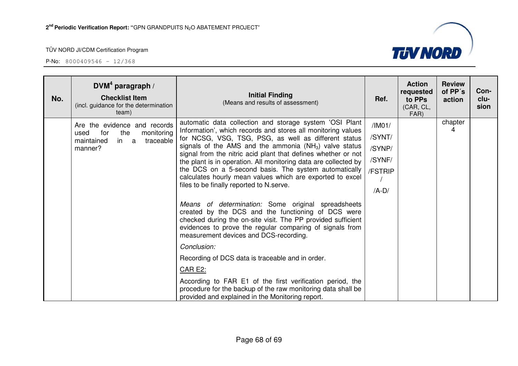

| No. | DVM <sup>4</sup> paragraph /<br><b>Checklist Item</b><br>(incl. guidance for the determination<br>team)        | <b>Initial Finding</b><br>(Means and results of assessment)                                                                                                                                                                                                                                                                                                                                                                                                                                                                                                                                                                                                                                                                                                                                                                                                                                                                                                                                                                                                                                        | Ref.                                                       | <b>Action</b><br>requested<br>to PPs<br>(CAR, CL,<br>FAR) | <b>Review</b><br>of PP's<br>action | Con-<br>clu-<br>sion |
|-----|----------------------------------------------------------------------------------------------------------------|----------------------------------------------------------------------------------------------------------------------------------------------------------------------------------------------------------------------------------------------------------------------------------------------------------------------------------------------------------------------------------------------------------------------------------------------------------------------------------------------------------------------------------------------------------------------------------------------------------------------------------------------------------------------------------------------------------------------------------------------------------------------------------------------------------------------------------------------------------------------------------------------------------------------------------------------------------------------------------------------------------------------------------------------------------------------------------------------------|------------------------------------------------------------|-----------------------------------------------------------|------------------------------------|----------------------|
|     | Are the evidence and records<br>for<br>the<br>monitoring<br>used<br>maintained<br>in a<br>traceable<br>manner? | automatic data collection and storage system 'OSI Plant<br>Information', which records and stores all monitoring values<br>for NCSG, VSG, TSG, PSG, as well as different status<br>signals of the AMS and the ammonia $(NH_3)$ valve status<br>signal from the nitric acid plant that defines whether or not<br>the plant is in operation. All monitoring data are collected by<br>the DCS on a 5-second basis. The system automatically<br>calculates hourly mean values which are exported to excel<br>files to be finally reported to N.serve.<br>Means of determination: Some original spreadsheets<br>created by the DCS and the functioning of DCS were<br>checked during the on-site visit. The PP provided sufficient<br>evidences to prove the regular comparing of signals from<br>measurement devices and DCS-recording.<br>Conclusion:<br>Recording of DCS data is traceable and in order.<br>CAR E2:<br>According to FAR E1 of the first verification period, the<br>procedure for the backup of the raw monitoring data shall be<br>provided and explained in the Monitoring report. | /IMO1/<br>/SYNT/<br>/SYNP/<br>/SYNF/<br>/FSTRIP<br>$/A-D/$ |                                                           | chapter<br>4                       |                      |